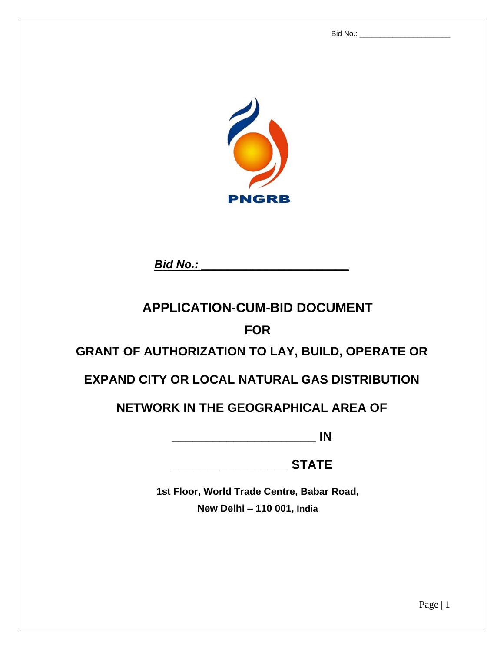Bid No.: \_\_\_\_\_\_\_\_\_\_\_\_\_\_\_\_\_\_\_\_\_\_



*Bid No.: \_\_\_\_\_\_\_\_\_\_\_\_\_\_\_\_\_\_\_\_\_\_\_*

# **APPLICATION-CUM-BID DOCUMENT**

# **FOR**

# **GRANT OF AUTHORIZATION TO LAY, BUILD, OPERATE OR**

# **EXPAND CITY OR LOCAL NATURAL GAS DISTRIBUTION**

# **NETWORK IN THE GEOGRAPHICAL AREA OF**

**\_\_\_\_\_\_\_\_\_\_\_\_\_\_\_\_\_\_\_\_\_ IN**

**\_\_\_\_\_\_\_\_\_\_\_\_\_\_\_\_\_ STATE**

**1st Floor, World Trade Centre, Babar Road, New Delhi – 110 001, India**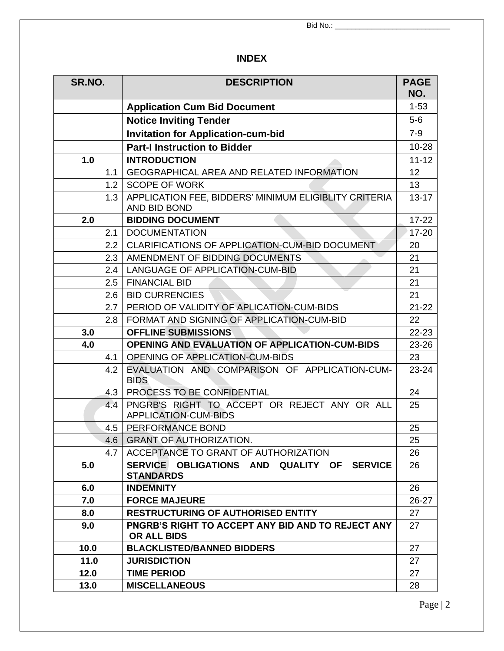# **INDEX**

| SR.NO.                                                              | <b>DESCRIPTION</b>                                                                 |                |
|---------------------------------------------------------------------|------------------------------------------------------------------------------------|----------------|
|                                                                     | <b>Application Cum Bid Document</b>                                                |                |
| <b>Notice Inviting Tender</b>                                       |                                                                                    | $5-6$          |
|                                                                     | <b>Invitation for Application-cum-bid</b>                                          | $7-9$          |
|                                                                     | <b>Part-I Instruction to Bidder</b>                                                | $10 - 28$      |
| 1.0                                                                 | <b>INTRODUCTION</b>                                                                | $11 - 12$      |
| 1.1                                                                 | <b>GEOGRAPHICAL AREA AND RELATED INFORMATION</b>                                   | 12             |
| 1.2                                                                 | <b>SCOPE OF WORK</b>                                                               | 13             |
| 1.3                                                                 | APPLICATION FEE, BIDDERS' MINIMUM ELIGIBLITY CRITERIA<br>AND BID BOND              | $13 - 17$      |
| 2.0                                                                 | <b>BIDDING DOCUMENT</b>                                                            | $17 - 22$      |
| 2.1                                                                 | <b>DOCUMENTATION</b>                                                               | $17 - 20$      |
| 2.2                                                                 | CLARIFICATIONS OF APPLICATION-CUM-BID DOCUMENT                                     | 20             |
| 2.3                                                                 | AMENDMENT OF BIDDING DOCUMENTS                                                     | 21             |
| 2.4                                                                 | LANGUAGE OF APPLICATION-CUM-BID                                                    | 21             |
| 2.5                                                                 | <b>FINANCIAL BID</b>                                                               | 21             |
| 2.6                                                                 | <b>BID CURRENCIES</b>                                                              | 21             |
| 2.7                                                                 | PERIOD OF VALIDITY OF APLICATION-CUM-BIDS                                          | $21 - 22$      |
| 2.8                                                                 | FORMAT AND SIGNING OF APPLICATION-CUM-BID                                          |                |
| 3.0<br><b>OFFLINE SUBMISSIONS</b>                                   |                                                                                    | 22-23<br>23-26 |
| 4.0                                                                 | <b>OPENING AND EVALUATION OF APPLICATION-CUM-BIDS</b>                              |                |
| 4.1                                                                 | <b>OPENING OF APPLICATION-CUM-BIDS</b>                                             |                |
| 4.2<br>EVALUATION AND COMPARISON OF APPLICATION-CUM-<br><b>BIDS</b> |                                                                                    | 23-24          |
| 4.3                                                                 | PROCESS TO BE CONFIDENTIAL                                                         |                |
| 4.4                                                                 | PNGRB'S RIGHT TO ACCEPT OR REJECT ANY OR ALL<br><b>APPLICATION-CUM-BIDS</b>        | 25             |
| 4.5                                                                 | PERFORMANCE BOND                                                                   | 25             |
|                                                                     | 4.6   GRANT OF AUTHORIZATION.                                                      |                |
| 4.7                                                                 | ACCEPTANCE TO GRANT OF AUTHORIZATION                                               | 26             |
| 5.0                                                                 | SERVICE OBLIGATIONS AND<br><b>QUALITY OF</b><br><b>SERVICE</b><br><b>STANDARDS</b> | 26             |
| 6.0                                                                 | <b>INDEMNITY</b>                                                                   | 26             |
| 7.0<br><b>FORCE MAJEURE</b>                                         |                                                                                    | 26-27          |
| 8.0                                                                 | <b>RESTRUCTURING OF AUTHORISED ENTITY</b>                                          |                |
| 9.0                                                                 | <b>PNGRB'S RIGHT TO ACCEPT ANY BID AND TO REJECT ANY</b><br><b>OR ALL BIDS</b>     |                |
| 10.0                                                                | <b>BLACKLISTED/BANNED BIDDERS</b>                                                  | 27             |
| 11.0                                                                | <b>JURISDICTION</b>                                                                | 27             |
| 12.0                                                                | <b>TIME PERIOD</b>                                                                 | 27             |
| 13.0                                                                | <b>MISCELLANEOUS</b>                                                               | 28             |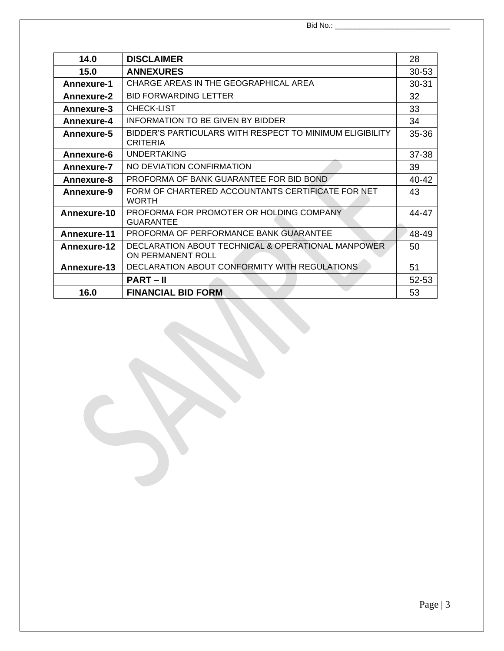| 14.0                                                                                      | <b>DISCLAIMER</b>                               |           |
|-------------------------------------------------------------------------------------------|-------------------------------------------------|-----------|
| 15.0                                                                                      | <b>ANNEXURES</b>                                |           |
| Annexure-1                                                                                | CHARGE AREAS IN THE GEOGRAPHICAL AREA           |           |
| <b>Annexure-2</b>                                                                         | <b>BID FORWARDING LETTER</b>                    | 32        |
| Annexure-3                                                                                | <b>CHECK-LIST</b>                               | 33        |
| Annexure-4                                                                                | INFORMATION TO BE GIVEN BY BIDDER               | 34        |
| BIDDER'S PARTICULARS WITH RESPECT TO MINIMUM ELIGIBILITY<br>Annexure-5<br><b>CRITERIA</b> |                                                 | $35 - 36$ |
| Annexure-6                                                                                | <b>UNDERTAKING</b>                              |           |
| NO DEVIATION CONFIRMATION<br>Annexure-7                                                   |                                                 | 39        |
| PROFORMA OF BANK GUARANTEE FOR BID BOND<br>Annexure-8                                     |                                                 | 40-42     |
| FORM OF CHARTERED ACCOUNTANTS CERTIFICATE FOR NET<br>Annexure-9<br><b>WORTH</b>           |                                                 | 43        |
| PROFORMA FOR PROMOTER OR HOLDING COMPANY<br>Annexure-10<br><b>GUARANTEE</b>               |                                                 | 44-47     |
| <b>Annexure-11</b>                                                                        | PROFORMA OF PERFORMANCE BANK GUARANTEE<br>48-49 |           |
| DECLARATION ABOUT TECHNICAL & OPERATIONAL MANPOWER<br>Annexure-12<br>ON PERMANENT ROLL    |                                                 | 50        |
| Annexure-13                                                                               | DECLARATION ABOUT CONFORMITY WITH REGULATIONS   | 51        |
|                                                                                           | <b>PART-II</b>                                  | 52-53     |
| 16.0                                                                                      | <b>FINANCIAL BID FORM</b>                       | 53        |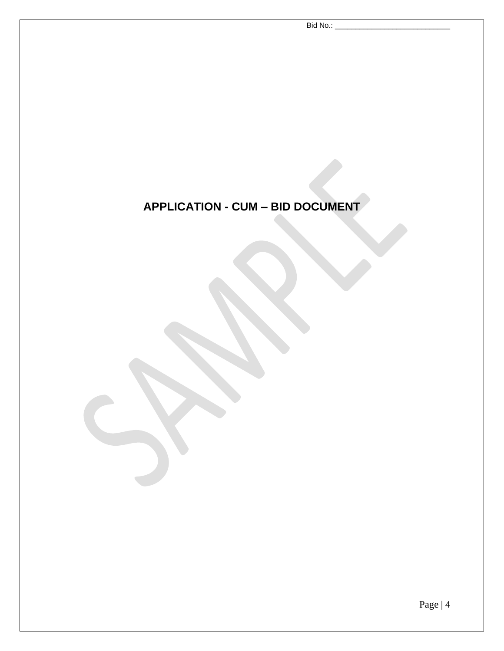# **APPLICATION - CUM – BID DOCUMENT**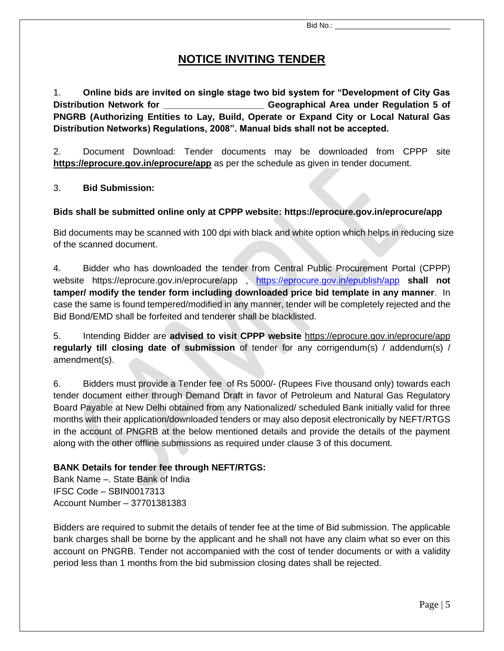# **NOTICE INVITING TENDER**

1. **Online bids are invited on single stage two bid system for "Development of City Gas Distribution Network for \_\_\_\_\_\_\_\_\_\_\_\_\_\_\_\_\_\_\_\_ Geographical Area under Regulation 5 of PNGRB (Authorizing Entities to Lay, Build, Operate or Expand City or Local Natural Gas Distribution Networks) Regulations, 2008". Manual bids shall not be accepted.**

2. Document Download: Tender documents may be downloaded from CPPP site **<https://eprocure.gov.in/eprocure/app>** as per the schedule as given in tender document.

#### 3. **Bid Submission:**

#### **Bids shall be submitted online only at CPPP website:<https://eprocure.gov.in/eprocure/app>**

Bid documents may be scanned with 100 dpi with black and white option which helps in reducing size of the scanned document.

4. Bidder who has downloaded the tender from Central Public Procurement Portal (CPPP) website <https://eprocure.gov.in/eprocure/app> , [https://eprocure.gov.in/epublish/app](https://eprocure.gov.in/epublish/app%20shall%20not%20tamper/) **shall not [tamper/](https://eprocure.gov.in/epublish/app%20shall%20not%20tamper/) modify the tender form including downloaded price bid template in any manner**. In case the same is found tempered/modified in any manner, tender will be completely rejected and the Bid Bond/EMD shall be forfeited and tenderer shall be blacklisted.

5. Intending Bidder are **advised to visit CPPP website** <https://eprocure.gov.in/eprocure/app> **regularly till closing date of submission** of tender for any corrigendum(s) / addendum(s) / amendment(s).

6. Bidders must provide a Tender fee of Rs 5000/- (Rupees Five thousand only) towards each tender document either through Demand Draft in favor of Petroleum and Natural Gas Regulatory Board Payable at New Delhi obtained from any Nationalized/ scheduled Bank initially valid for three months with their application/downloaded tenders or may also deposit electronically by NEFT/RTGS in the account of PNGRB at the below mentioned details and provide the details of the payment along with the other offline submissions as required under clause 3 of this document.

#### **BANK Details for tender fee through NEFT/RTGS:**

Bank Name –. State Bank of India IFSC Code – SBIN0017313 Account Number – 37701381383

Bidders are required to submit the details of tender fee at the time of Bid submission. The applicable bank charges shall be borne by the applicant and he shall not have any claim what so ever on this account on PNGRB. Tender not accompanied with the cost of tender documents or with a validity period less than 1 months from the bid submission closing dates shall be rejected.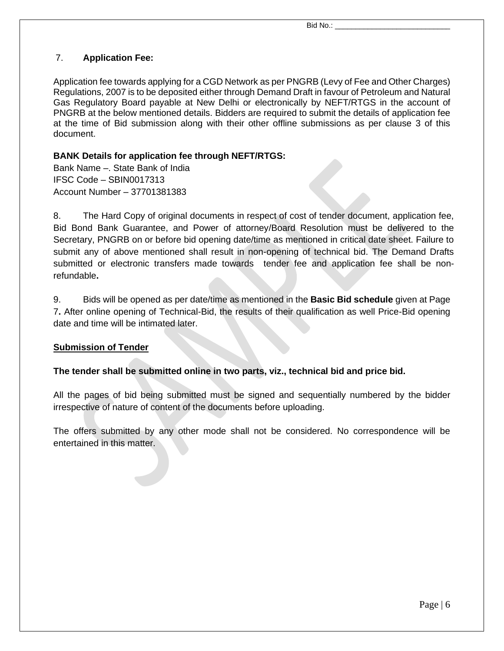#### 7. **Application Fee:**

Application fee towards applying for a CGD Network as per PNGRB (Levy of Fee and Other Charges) Regulations, 2007 is to be deposited either through Demand Draft in favour of Petroleum and Natural Gas Regulatory Board payable at New Delhi or electronically by NEFT/RTGS in the account of PNGRB at the below mentioned details. Bidders are required to submit the details of application fee at the time of Bid submission along with their other offline submissions as per clause 3 of this document.

#### **BANK Details for application fee through NEFT/RTGS:**

Bank Name –. State Bank of India IFSC Code – SBIN0017313 Account Number – 37701381383

8. The Hard Copy of original documents in respect of cost of tender document, application fee, Bid Bond Bank Guarantee, and Power of attorney/Board Resolution must be delivered to the Secretary, PNGRB on or before bid opening date/time as mentioned in critical date sheet. Failure to submit any of above mentioned shall result in non-opening of technical bid. The Demand Drafts submitted or electronic transfers made towards tender fee and application fee shall be nonrefundable**.** 

9. Bids will be opened as per date/time as mentioned in the **Basic Bid schedule** given at Page 7**.** After online opening of Technical-Bid, the results of their qualification as well Price-Bid opening date and time will be intimated later.

#### **Submission of Tender**

#### **The tender shall be submitted online in two parts, viz., technical bid and price bid.**

All the pages of bid being submitted must be signed and sequentially numbered by the bidder irrespective of nature of content of the documents before uploading.

The offers submitted by any other mode shall not be considered. No correspondence will be entertained in this matter.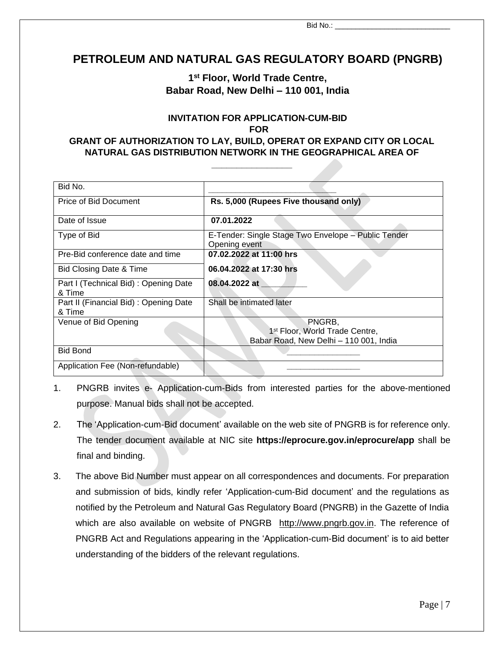$\overline{B}$ id No.:

# **PETROLEUM AND NATURAL GAS REGULATORY BOARD (PNGRB)**

#### **1 st Floor, World Trade Centre, Babar Road, New Delhi – 110 001, India**

#### **INVITATION FOR APPLICATION-CUM-BID FOR GRANT OF AUTHORIZATION TO LAY, BUILD, OPERAT OR EXPAND CITY OR LOCAL NATURAL GAS DISTRIBUTION NETWORK IN THE GEOGRAPHICAL AREA OF**

**\_\_\_\_\_\_\_\_\_\_\_\_\_\_\_\_**

| Bid No.                                         |                                                                      |
|-------------------------------------------------|----------------------------------------------------------------------|
| Price of Bid Document                           | Rs. 5,000 (Rupees Five thousand only)                                |
| Date of Issue                                   | 07.01.2022                                                           |
| Type of Bid                                     | E-Tender: Single Stage Two Envelope - Public Tender<br>Opening event |
| Pre-Bid conference date and time                | 07.02.2022 at 11:00 hrs                                              |
| Bid Closing Date & Time                         | 06.04.2022 at 17:30 hrs                                              |
| Part I (Technical Bid): Opening Date<br>& Time  | 08.04.2022 at                                                        |
| Part II (Financial Bid): Opening Date<br>& Time | Shall be intimated later                                             |
| Venue of Bid Opening                            | PNGRB,<br>1 <sup>st</sup> Floor, World Trade Centre,                 |
|                                                 | Babar Road, New Delhi - 110 001, India                               |
| <b>Bid Bond</b>                                 |                                                                      |
| Application Fee (Non-refundable)                |                                                                      |

- 1. PNGRB invites e- Application-cum-Bids from interested parties for the above-mentioned purpose. Manual bids shall not be accepted.
- 2. The 'Application-cum-Bid document' available on the web site of PNGRB is for reference only. The tender document available at NIC site **https://eprocure.gov.in/eprocure/app** shall be final and binding.
- 3. The above Bid Number must appear on all correspondences and documents. For preparation and submission of bids, kindly refer 'Application-cum-Bid document' and the regulations as notified by the Petroleum and Natural Gas Regulatory Board (PNGRB) in the Gazette of India which are also available on website of PNGRB [http://www.pngrb.gov.in.](http://www.pngrb.gov.in/) The reference of PNGRB Act and Regulations appearing in the 'Application-cum-Bid document' is to aid better understanding of the bidders of the relevant regulations.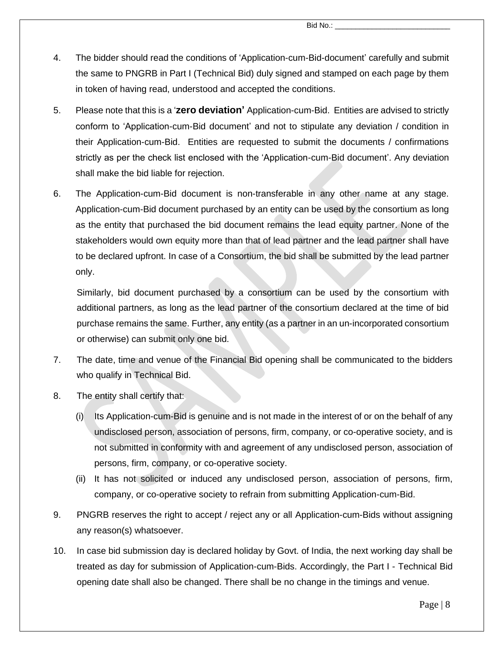- 4. The bidder should read the conditions of 'Application-cum-Bid-document' carefully and submit the same to PNGRB in Part I (Technical Bid) duly signed and stamped on each page by them in token of having read, understood and accepted the conditions.
- 5. Please note that this is a '**zero deviation'** Application-cum-Bid. Entities are advised to strictly conform to 'Application-cum-Bid document' and not to stipulate any deviation / condition in their Application-cum-Bid. Entities are requested to submit the documents / confirmations strictly as per the check list enclosed with the 'Application-cum-Bid document'. Any deviation shall make the bid liable for rejection.
- 6. The Application-cum-Bid document is non-transferable in any other name at any stage. Application-cum-Bid document purchased by an entity can be used by the consortium as long as the entity that purchased the bid document remains the lead equity partner. None of the stakeholders would own equity more than that of lead partner and the lead partner shall have to be declared upfront. In case of a Consortium, the bid shall be submitted by the lead partner only.

Similarly, bid document purchased by a consortium can be used by the consortium with additional partners, as long as the lead partner of the consortium declared at the time of bid purchase remains the same. Further, any entity (as a partner in an un-incorporated consortium or otherwise) can submit only one bid.

- 7. The date, time and venue of the Financial Bid opening shall be communicated to the bidders who qualify in Technical Bid.
- 8. The entity shall certify that:
	- (i) Its Application-cum-Bid is genuine and is not made in the interest of or on the behalf of any undisclosed person, association of persons, firm, company, or co-operative society, and is not submitted in conformity with and agreement of any undisclosed person, association of persons, firm, company, or co-operative society.
	- (ii) It has not solicited or induced any undisclosed person, association of persons, firm, company, or co-operative society to refrain from submitting Application-cum-Bid.
- 9. PNGRB reserves the right to accept / reject any or all Application-cum-Bids without assigning any reason(s) whatsoever.
- 10. In case bid submission day is declared holiday by Govt. of India, the next working day shall be treated as day for submission of Application-cum-Bids. Accordingly, the Part I - Technical Bid opening date shall also be changed. There shall be no change in the timings and venue.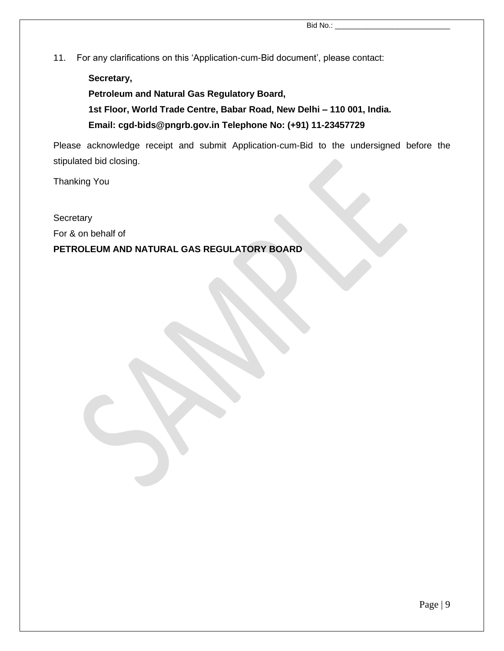11. For any clarifications on this 'Application-cum-Bid document', please contact:

**Secretary, Petroleum and Natural Gas Regulatory Board, 1st Floor, World Trade Centre, Babar Road, New Delhi – 110 001, India. Email: cgd-bids@pngrb.gov.in Telephone No: (+91) 11-23457729**

Please acknowledge receipt and submit Application-cum-Bid to the undersigned before the stipulated bid closing.

Thanking You

#### **Secretary**

For & on behalf of

#### **PETROLEUM AND NATURAL GAS REGULATORY BOARD**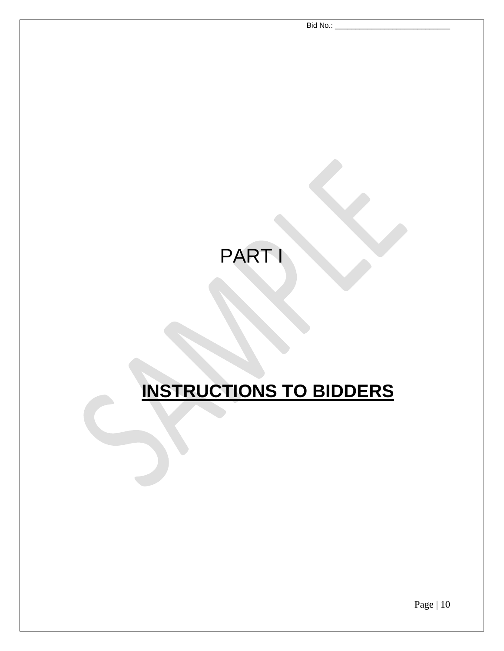Bid No.:

# PART I

# **INSTRUCTIONS TO BIDDERS**

Page | 10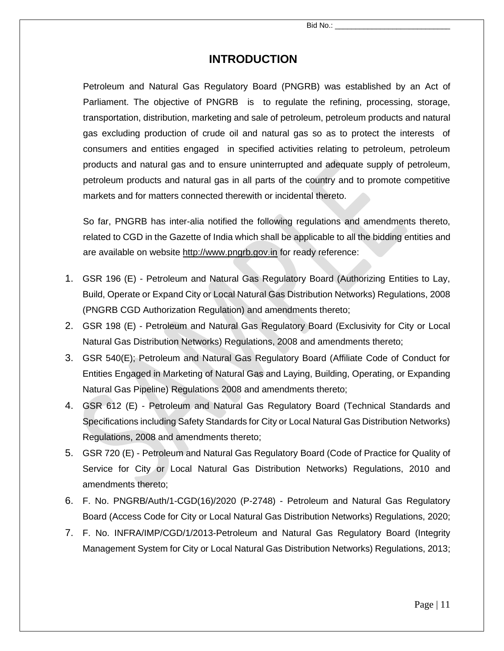# **INTRODUCTION**

Petroleum and Natural Gas Regulatory Board (PNGRB) was established by an Act of Parliament. The objective of PNGRB is to regulate the refining, processing, storage, transportation, distribution, marketing and sale of petroleum, petroleum products and natural gas excluding production of crude oil and natural gas so as to protect the interests of consumers and entities engaged in specified activities relating to petroleum, petroleum products and natural gas and to ensure uninterrupted and adequate supply of petroleum, petroleum products and natural gas in all parts of the country and to promote competitive markets and for matters connected therewith or incidental thereto.

So far, PNGRB has inter-alia notified the following regulations and amendments thereto, related to CGD in the Gazette of India which shall be applicable to all the bidding entities and are available on website [http://www.pngrb.gov.in](http://www.pngrb.gov.in/) for ready reference:

- 1. GSR 196 (E) Petroleum and Natural Gas Regulatory Board (Authorizing Entities to Lay, Build, Operate or Expand City or Local Natural Gas Distribution Networks) Regulations, 2008 (PNGRB CGD Authorization Regulation) and amendments thereto;
- 2. GSR 198 (E) Petroleum and Natural Gas Regulatory Board (Exclusivity for City or Local Natural Gas Distribution Networks) Regulations, 2008 and amendments thereto;
- 3. GSR 540(E); Petroleum and Natural Gas Regulatory Board (Affiliate Code of Conduct for Entities Engaged in Marketing of Natural Gas and Laying, Building, Operating, or Expanding Natural Gas Pipeline) Regulations 2008 and amendments thereto;
- 4. GSR 612 (E) Petroleum and Natural Gas Regulatory Board (Technical Standards and Specifications including Safety Standards for City or Local Natural Gas Distribution Networks) Regulations, 2008 and amendments thereto;
- 5. GSR 720 (E) Petroleum and Natural Gas Regulatory Board (Code of Practice for Quality of Service for City or Local Natural Gas Distribution Networks) Regulations, 2010 and amendments thereto;
- 6. F. No. PNGRB/Auth/1-CGD(16)/2020 (P-2748) Petroleum and Natural Gas Regulatory Board (Access Code for City or Local Natural Gas Distribution Networks) Regulations, 2020;
- 7. F. No. INFRA/IMP/CGD/1/2013-Petroleum and Natural Gas Regulatory Board (Integrity Management System for City or Local Natural Gas Distribution Networks) Regulations, 2013;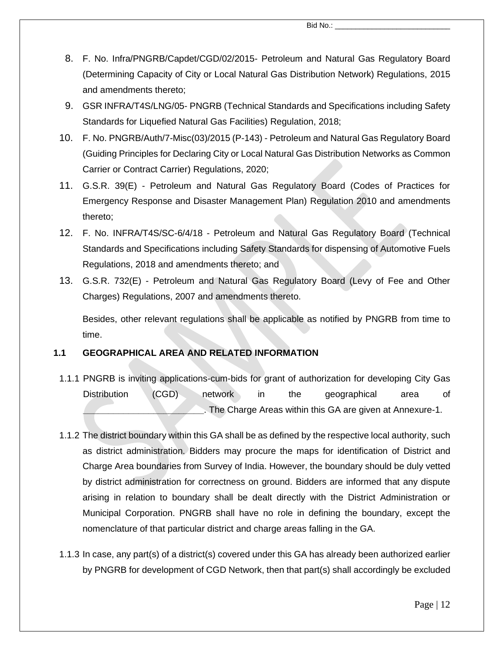- 8. F. No. Infra/PNGRB/Capdet/CGD/02/2015- Petroleum and Natural Gas Regulatory Board (Determining Capacity of City or Local Natural Gas Distribution Network) Regulations, 2015 and amendments thereto;
- 9. GSR INFRA/T4S/LNG/05- PNGRB (Technical Standards and Specifications including Safety Standards for Liquefied Natural Gas Facilities) Regulation, 2018;
- 10. F. No. PNGRB/Auth/7-Misc(03)/2015 (P-143) Petroleum and Natural Gas Regulatory Board (Guiding Principles for Declaring City or Local Natural Gas Distribution Networks as Common Carrier or Contract Carrier) Regulations, 2020;
- 11. G.S.R. 39(E) Petroleum and Natural Gas Regulatory Board (Codes of Practices for Emergency Response and Disaster Management Plan) Regulation 2010 and amendments thereto;
- 12. F. No. INFRA/T4S/SC-6/4/18 Petroleum and Natural Gas Regulatory Board (Technical Standards and Specifications including Safety Standards for dispensing of Automotive Fuels Regulations, 2018 and amendments thereto; and
- 13. G.S.R. 732(E) Petroleum and Natural Gas Regulatory Board (Levy of Fee and Other Charges) Regulations, 2007 and amendments thereto.

Besides, other relevant regulations shall be applicable as notified by PNGRB from time to time.

#### **1.1 GEOGRAPHICAL AREA AND RELATED INFORMATION**

- 1.1.1 PNGRB is inviting applications-cum-bids for grant of authorization for developing City Gas Distribution (CGD) network in the geographical area of **\_\_\_\_\_\_\_\_\_\_\_\_\_\_\_\_\_\_\_\_\_\_\_\_**. The Charge Areas within this GA are given at Annexure-1.
- 1.1.2 The district boundary within this GA shall be as defined by the respective local authority, such as district administration. Bidders may procure the maps for identification of District and Charge Area boundaries from Survey of India. However, the boundary should be duly vetted by district administration for correctness on ground. Bidders are informed that any dispute arising in relation to boundary shall be dealt directly with the District Administration or Municipal Corporation. PNGRB shall have no role in defining the boundary, except the nomenclature of that particular district and charge areas falling in the GA.
- 1.1.3 In case, any part(s) of a district(s) covered under this GA has already been authorized earlier by PNGRB for development of CGD Network, then that part(s) shall accordingly be excluded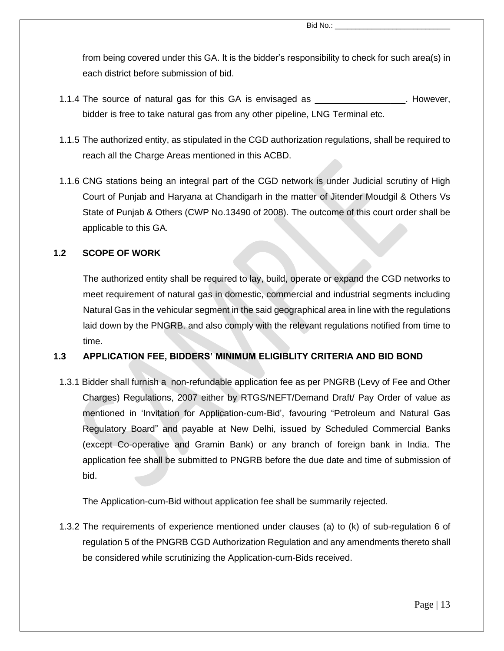from being covered under this GA. It is the bidder's responsibility to check for such area(s) in each district before submission of bid.

- 1.1.4 The source of natural gas for this GA is envisaged as \_\_\_\_\_\_\_\_\_\_\_\_\_\_\_\_\_\_. However, bidder is free to take natural gas from any other pipeline, LNG Terminal etc.
- 1.1.5 The authorized entity, as stipulated in the CGD authorization regulations, shall be required to reach all the Charge Areas mentioned in this ACBD.
- 1.1.6 CNG stations being an integral part of the CGD network is under Judicial scrutiny of High Court of Punjab and Haryana at Chandigarh in the matter of Jitender Moudgil & Others Vs State of Punjab & Others (CWP No.13490 of 2008). The outcome of this court order shall be applicable to this GA.

#### **1.2 SCOPE OF WORK**

The authorized entity shall be required to lay, build, operate or expand the CGD networks to meet requirement of natural gas in domestic, commercial and industrial segments including Natural Gas in the vehicular segment in the said geographical area in line with the regulations laid down by the PNGRB. and also comply with the relevant regulations notified from time to time.

#### **1.3 APPLICATION FEE, BIDDERS' MINIMUM ELIGIBLITY CRITERIA AND BID BOND**

1.3.1 Bidder shall furnish a non-refundable application fee as per PNGRB (Levy of Fee and Other Charges) Regulations, 2007 either by RTGS/NEFT/Demand Draft/ Pay Order of value as mentioned in 'Invitation for Application-cum-Bid', favouring "Petroleum and Natural Gas Regulatory Board" and payable at New Delhi, issued by Scheduled Commercial Banks (except Co-operative and Gramin Bank) or any branch of foreign bank in India. The application fee shall be submitted to PNGRB before the due date and time of submission of bid.

The Application-cum-Bid without application fee shall be summarily rejected.

1.3.2 The requirements of experience mentioned under clauses (a) to (k) of sub-regulation 6 of regulation 5 of the PNGRB CGD Authorization Regulation and any amendments thereto shall be considered while scrutinizing the Application-cum-Bids received.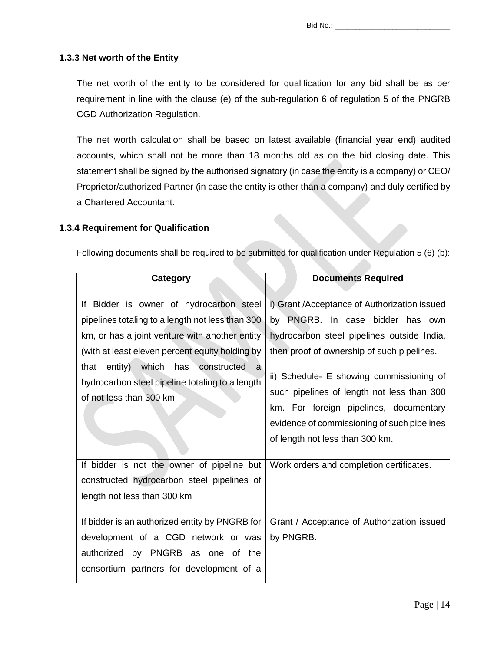#### **1.3.3 Net worth of the Entity**

The net worth of the entity to be considered for qualification for any bid shall be as per requirement in line with the clause (e) of the sub-regulation 6 of regulation 5 of the PNGRB CGD Authorization Regulation.

The net worth calculation shall be based on latest available (financial year end) audited accounts, which shall not be more than 18 months old as on the bid closing date. This statement shall be signed by the authorised signatory (in case the entity is a company) or CEO/ Proprietor/authorized Partner (in case the entity is other than a company) and duly certified by a Chartered Accountant.

#### **1.3.4 Requirement for Qualification**

Following documents shall be required to be submitted for qualification under Regulation 5 (6) (b):

| Category                                                                                                                                                                                                                                                                                                                        | <b>Documents Required</b>                                                                                                                                                                                                                                                                                                                                                                           |
|---------------------------------------------------------------------------------------------------------------------------------------------------------------------------------------------------------------------------------------------------------------------------------------------------------------------------------|-----------------------------------------------------------------------------------------------------------------------------------------------------------------------------------------------------------------------------------------------------------------------------------------------------------------------------------------------------------------------------------------------------|
| If Bidder is owner of hydrocarbon steel<br>pipelines totaling to a length not less than 300<br>km, or has a joint venture with another entity<br>(with at least eleven percent equity holding by<br>that entity) which<br>has<br>constructed<br>a<br>hydrocarbon steel pipeline totaling to a length<br>of not less than 300 km | i) Grant / Acceptance of Authorization issued<br>by PNGRB. In case bidder has own<br>hydrocarbon steel pipelines outside India,<br>then proof of ownership of such pipelines.<br>ii) Schedule- E showing commissioning of<br>such pipelines of length not less than 300<br>km. For foreign pipelines, documentary<br>evidence of commissioning of such pipelines<br>of length not less than 300 km. |
| If bidder is not the owner of pipeline but<br>constructed hydrocarbon steel pipelines of<br>length not less than 300 km                                                                                                                                                                                                         | Work orders and completion certificates.                                                                                                                                                                                                                                                                                                                                                            |
| If bidder is an authorized entity by PNGRB for<br>development of a CGD network or was<br>authorized by PNGRB as one of the<br>consortium partners for development of a                                                                                                                                                          | Grant / Acceptance of Authorization issued<br>by PNGRB.                                                                                                                                                                                                                                                                                                                                             |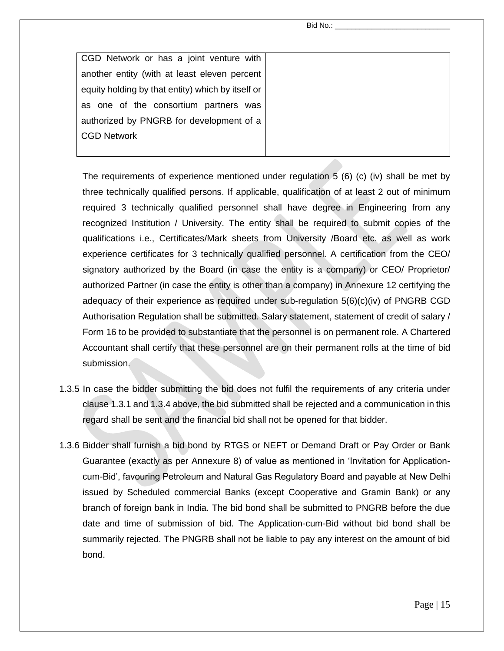Bid No.:

| CGD Network or has a joint venture with           |  |
|---------------------------------------------------|--|
| another entity (with at least eleven percent      |  |
| equity holding by that entity) which by itself or |  |
| as one of the consortium partners was             |  |
| authorized by PNGRB for development of a          |  |
| <b>CGD Network</b>                                |  |
|                                                   |  |

The requirements of experience mentioned under regulation 5 (6) (c) (iv) shall be met by three technically qualified persons. If applicable, qualification of at least 2 out of minimum required 3 technically qualified personnel shall have degree in Engineering from any recognized Institution / University. The entity shall be required to submit copies of the qualifications i.e., Certificates/Mark sheets from University /Board etc. as well as work experience certificates for 3 technically qualified personnel. A certification from the CEO/ signatory authorized by the Board (in case the entity is a company) or CEO/ Proprietor/ authorized Partner (in case the entity is other than a company) in Annexure 12 certifying the adequacy of their experience as required under sub-regulation  $5(6)(c)(iv)$  of PNGRB CGD Authorisation Regulation shall be submitted. Salary statement, statement of credit of salary / Form 16 to be provided to substantiate that the personnel is on permanent role. A Chartered Accountant shall certify that these personnel are on their permanent rolls at the time of bid submission.

- 1.3.5 In case the bidder submitting the bid does not fulfil the requirements of any criteria under clause 1.3.1 and 1.3.4 above, the bid submitted shall be rejected and a communication in this regard shall be sent and the financial bid shall not be opened for that bidder.
- 1.3.6 Bidder shall furnish a bid bond by RTGS or NEFT or Demand Draft or Pay Order or Bank Guarantee (exactly as per Annexure 8) of value as mentioned in 'Invitation for Applicationcum-Bid', favouring Petroleum and Natural Gas Regulatory Board and payable at New Delhi issued by Scheduled commercial Banks (except Cooperative and Gramin Bank) or any branch of foreign bank in India. The bid bond shall be submitted to PNGRB before the due date and time of submission of bid. The Application-cum-Bid without bid bond shall be summarily rejected. The PNGRB shall not be liable to pay any interest on the amount of bid bond.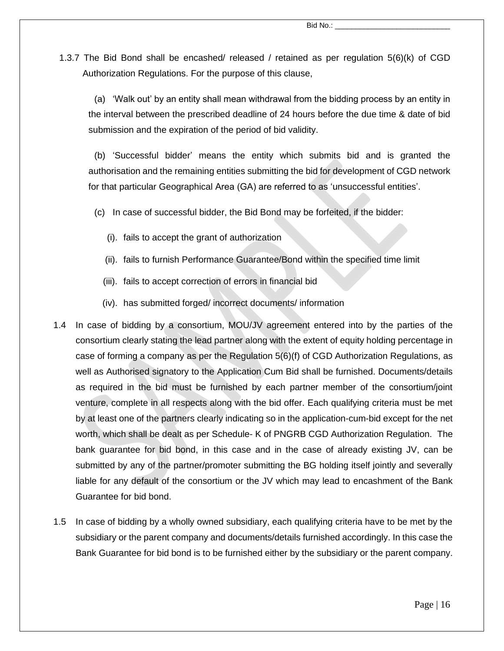1.3.7 The Bid Bond shall be encashed/ released / retained as per regulation 5(6)(k) of CGD Authorization Regulations. For the purpose of this clause,

(a) 'Walk out' by an entity shall mean withdrawal from the bidding process by an entity in the interval between the prescribed deadline of 24 hours before the due time & date of bid submission and the expiration of the period of bid validity.

(b) 'Successful bidder' means the entity which submits bid and is granted the authorisation and the remaining entities submitting the bid for development of CGD network for that particular Geographical Area (GA) are referred to as 'unsuccessful entities'.

(c) In case of successful bidder, the Bid Bond may be forfeited, if the bidder:

- (i). fails to accept the grant of authorization
- (ii). fails to furnish Performance Guarantee/Bond within the specified time limit
- (iii). fails to accept correction of errors in financial bid
- (iv). has submitted forged/ incorrect documents/ information
- 1.4 In case of bidding by a consortium, MOU/JV agreement entered into by the parties of the consortium clearly stating the lead partner along with the extent of equity holding percentage in case of forming a company as per the Regulation 5(6)(f) of CGD Authorization Regulations, as well as Authorised signatory to the Application Cum Bid shall be furnished. Documents/details as required in the bid must be furnished by each partner member of the consortium/joint venture, complete in all respects along with the bid offer. Each qualifying criteria must be met by at least one of the partners clearly indicating so in the application-cum-bid except for the net worth, which shall be dealt as per Schedule- K of PNGRB CGD Authorization Regulation. The bank guarantee for bid bond, in this case and in the case of already existing JV, can be submitted by any of the partner/promoter submitting the BG holding itself jointly and severally liable for any default of the consortium or the JV which may lead to encashment of the Bank Guarantee for bid bond.
- 1.5 In case of bidding by a wholly owned subsidiary, each qualifying criteria have to be met by the subsidiary or the parent company and documents/details furnished accordingly. In this case the Bank Guarantee for bid bond is to be furnished either by the subsidiary or the parent company.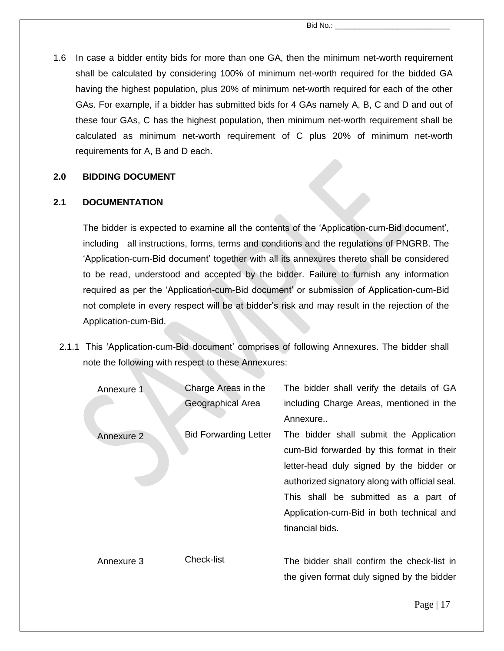1.6 In case a bidder entity bids for more than one GA, then the minimum net-worth requirement shall be calculated by considering 100% of minimum net-worth required for the bidded GA having the highest population, plus 20% of minimum net-worth required for each of the other GAs. For example, if a bidder has submitted bids for 4 GAs namely A, B, C and D and out of these four GAs, C has the highest population, then minimum net-worth requirement shall be calculated as minimum net-worth requirement of C plus 20% of minimum net-worth requirements for A, B and D each.

#### **2.0 BIDDING DOCUMENT**

#### **2.1 DOCUMENTATION**

The bidder is expected to examine all the contents of the 'Application-cum-Bid document', including all instructions, forms, terms and conditions and the regulations of PNGRB. The 'Application-cum-Bid document' together with all its annexures thereto shall be considered to be read, understood and accepted by the bidder. Failure to furnish any information required as per the 'Application-cum-Bid document' or submission of Application-cum-Bid not complete in every respect will be at bidder's risk and may result in the rejection of the Application-cum-Bid.

2.1.1 This 'Application-cum-Bid document' comprises of following Annexures. The bidder shall note the following with respect to these Annexures:

| Annexure 1 | Charge Areas in the          | The bidder shall verify the details of GA      |
|------------|------------------------------|------------------------------------------------|
|            | Geographical Area            | including Charge Areas, mentioned in the       |
|            |                              | Annexure                                       |
| Annexure 2 | <b>Bid Forwarding Letter</b> | The bidder shall submit the Application        |
|            |                              | cum-Bid forwarded by this format in their      |
|            |                              | letter-head duly signed by the bidder or       |
|            |                              | authorized signatory along with official seal. |
|            |                              | This shall be submitted as a part of           |
|            |                              | Application-cum-Bid in both technical and      |
|            |                              | financial bids.                                |
|            |                              |                                                |
| Annexure 3 | <b>Check-list</b>            | The bidder shall confirm the check-list in     |
|            |                              | the given format duly signed by the bidder     |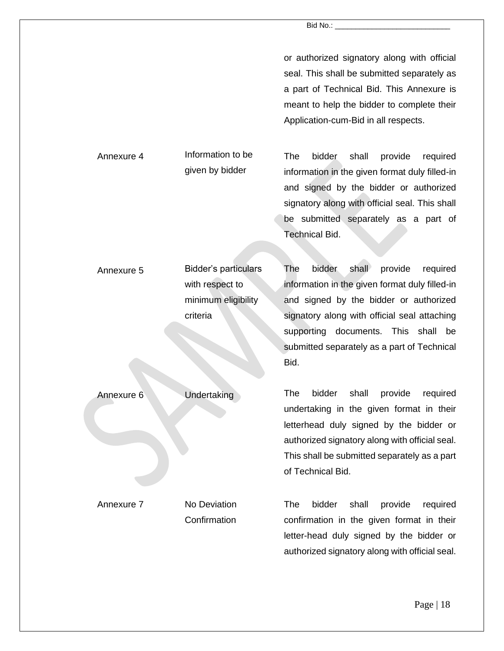or authorized signatory along with official seal. This shall be submitted separately as a part of Technical Bid. This Annexure is meant to help the bidder to complete their Application-cum-Bid in all respects.

The bidder shall provide required information in the given format duly filled-in and signed by the bidder or authorized signatory along with official seal. This shall be submitted separately as a part of Technical Bid.

| Annexure 5 | <b>Bidder's particulars</b> | The<br>bidder<br>shall<br>provide<br>required        |
|------------|-----------------------------|------------------------------------------------------|
|            | with respect to             | information in the given format duly filled-in       |
|            | minimum eligibility         | and signed by the bidder or authorized               |
|            | criteria                    | signatory along with official seal attaching         |
|            |                             | supporting documents. This shall<br>be               |
|            |                             | submitted separately as a part of Technical          |
|            |                             | Bid.                                                 |
|            |                             |                                                      |
| Annexure 6 | Undertaking                 | bidder<br>shall<br>provide<br><b>The</b><br>required |
|            |                             | undertaking in the given format in their             |
|            |                             | letterhead duly signed by the bidder or              |
|            |                             | authorized signatory along with official seal.       |
|            |                             | This shall be submitted separately as a part         |
|            |                             | of Technical Bid.                                    |
|            |                             |                                                      |
| Annexure 7 | No Deviation                | shall<br>The<br>bidder<br>provide<br>required        |
|            | Confirmation                | confirmation in the given format in their            |
|            |                             | letter-head duly signed by the bidder or             |
|            |                             | authorized signatory along with official seal.       |

Annexure 4 Information to be

given by bidder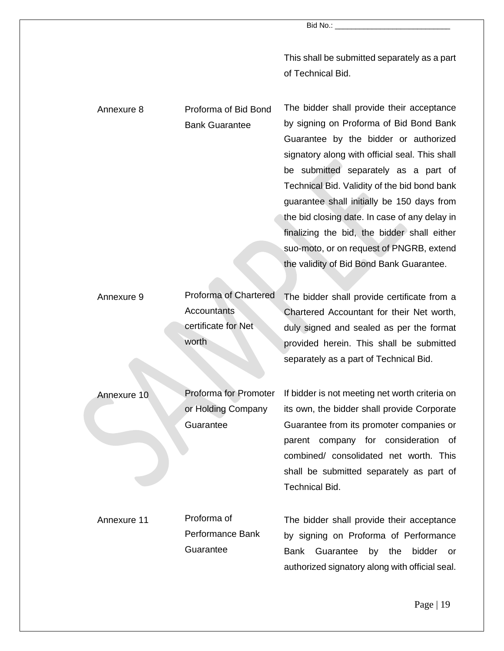This shall be submitted separately as a part of Technical Bid.

| Annexure 8  | Proforma of Bid Bond<br><b>Bank Guarantee</b>                                      | The bidder shall provide their acceptance<br>by signing on Proforma of Bid Bond Bank<br>Guarantee by the bidder or authorized<br>signatory along with official seal. This shall<br>be submitted separately as a part of<br>Technical Bid. Validity of the bid bond bank<br>guarantee shall initially be 150 days from<br>the bid closing date. In case of any delay in<br>finalizing the bid, the bidder shall either<br>suo-moto, or on request of PNGRB, extend |
|-------------|------------------------------------------------------------------------------------|-------------------------------------------------------------------------------------------------------------------------------------------------------------------------------------------------------------------------------------------------------------------------------------------------------------------------------------------------------------------------------------------------------------------------------------------------------------------|
|             |                                                                                    | the validity of Bid Bond Bank Guarantee.                                                                                                                                                                                                                                                                                                                                                                                                                          |
| Annexure 9  | <b>Proforma of Chartered</b><br><b>Accountants</b><br>certificate for Net<br>worth | The bidder shall provide certificate from a<br>Chartered Accountant for their Net worth,<br>duly signed and sealed as per the format<br>provided herein. This shall be submitted<br>separately as a part of Technical Bid.                                                                                                                                                                                                                                        |
| Annexure 10 | <b>Proforma for Promoter</b><br>or Holding Company<br>Guarantee                    | If bidder is not meeting net worth criteria on<br>its own, the bidder shall provide Corporate<br>Guarantee from its promoter companies or<br>parent company for consideration of<br>combined/ consolidated net worth. This<br>shall be submitted separately as part of<br><b>Technical Bid.</b>                                                                                                                                                                   |
| Annexure 11 | Proforma of<br><b>Performance Bank</b><br>Guarantee                                | The bidder shall provide their acceptance<br>by signing on Proforma of Performance<br><b>Bank</b><br>Guarantee<br>by<br>the<br>bidder<br>or<br>authorized signatory along with official seal.                                                                                                                                                                                                                                                                     |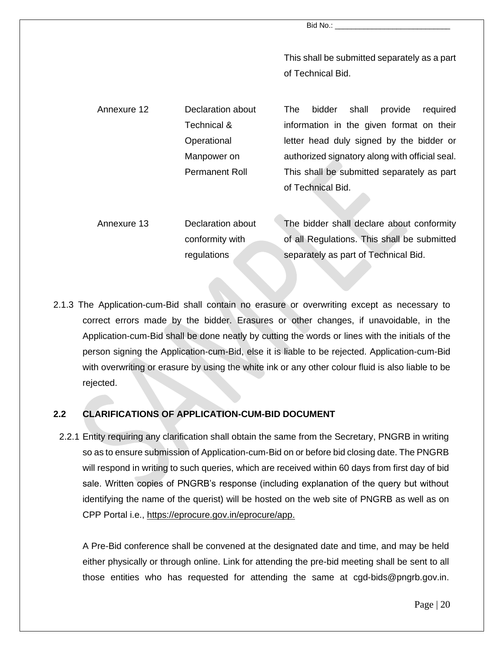This shall be submitted separately as a part of Technical Bid.

Annexure 12 Declaration about Technical & **Operational** Manpower on Permanent Roll The bidder shall provide required information in the given format on their letter head duly signed by the bidder or authorized signatory along with official seal. This shall be submitted separately as part of Technical Bid.

Annexure 13 Declaration about conformity with regulations The bidder shall declare about conformity of all Regulations. This shall be submitted separately as part of Technical Bid.

2.1.3 The Application-cum-Bid shall contain no erasure or overwriting except as necessary to correct errors made by the bidder. Erasures or other changes, if unavoidable, in the Application-cum-Bid shall be done neatly by cutting the words or lines with the initials of the person signing the Application-cum-Bid, else it is liable to be rejected. Application-cum-Bid with overwriting or erasure by using the white ink or any other colour fluid is also liable to be rejected.

#### **2.2 CLARIFICATIONS OF APPLICATION-CUM-BID DOCUMENT**

2.2.1 Entity requiring any clarification shall obtain the same from the Secretary, PNGRB in writing so as to ensure submission of Application-cum-Bid on or before bid closing date. The PNGRB will respond in writing to such queries, which are received within 60 days from first day of bid sale. Written copies of PNGRB's response (including explanation of the query but without identifying the name of the querist) will be hosted on the web site of PNGRB as well as on CPP Portal i.e., [https://eprocure.gov.in/eprocure/app.](https://eprocure.gov.in/eprocure/app)

A Pre-Bid conference shall be convened at the designated date and time, and may be held either physically or through online. Link for attending the pre-bid meeting shall be sent to all those entities who has requested for attending the same at cgd-bids@pngrb.gov.in.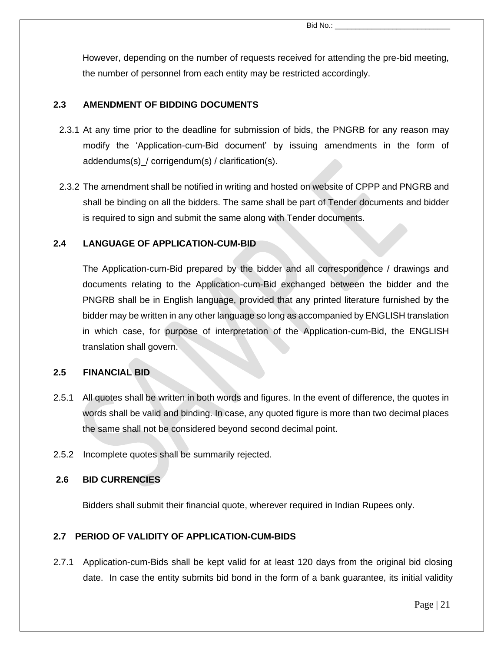However, depending on the number of requests received for attending the pre-bid meeting, the number of personnel from each entity may be restricted accordingly.

#### **2.3 AMENDMENT OF BIDDING DOCUMENTS**

- 2.3.1 At any time prior to the deadline for submission of bids, the PNGRB for any reason may modify the 'Application-cum-Bid document' by issuing amendments in the form of addendums(s)\_/ corrigendum(s) / clarification(s).
- 2.3.2 The amendment shall be notified in writing and hosted on website of CPPP and PNGRB and shall be binding on all the bidders. The same shall be part of Tender documents and bidder is required to sign and submit the same along with Tender documents.

#### **2.4 LANGUAGE OF APPLICATION-CUM-BID**

The Application-cum-Bid prepared by the bidder and all correspondence / drawings and documents relating to the Application-cum-Bid exchanged between the bidder and the PNGRB shall be in English language, provided that any printed literature furnished by the bidder may be written in any other language so long as accompanied by ENGLISH translation in which case, for purpose of interpretation of the Application-cum-Bid, the ENGLISH translation shall govern.

#### **2.5 FINANCIAL BID**

- 2.5.1 All quotes shall be written in both words and figures. In the event of difference, the quotes in words shall be valid and binding. In case, any quoted figure is more than two decimal places the same shall not be considered beyond second decimal point.
- 2.5.2 Incomplete quotes shall be summarily rejected.

#### **2.6 BID CURRENCIES**

Bidders shall submit their financial quote, wherever required in Indian Rupees only.

#### **2.7 PERIOD OF VALIDITY OF APPLICATION-CUM-BIDS**

2.7.1 Application-cum-Bids shall be kept valid for at least 120 days from the original bid closing date. In case the entity submits bid bond in the form of a bank guarantee, its initial validity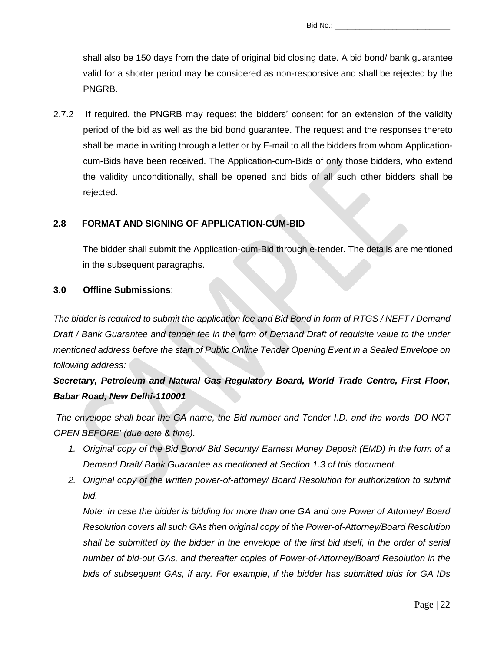shall also be 150 days from the date of original bid closing date. A bid bond/ bank guarantee valid for a shorter period may be considered as non-responsive and shall be rejected by the PNGRB.

2.7.2 If required, the PNGRB may request the bidders' consent for an extension of the validity period of the bid as well as the bid bond guarantee. The request and the responses thereto shall be made in writing through a letter or by E-mail to all the bidders from whom Applicationcum-Bids have been received. The Application-cum-Bids of only those bidders, who extend the validity unconditionally, shall be opened and bids of all such other bidders shall be rejected.

#### **2.8 FORMAT AND SIGNING OF APPLICATION-CUM-BID**

The bidder shall submit the Application-cum-Bid through e-tender. The details are mentioned in the subsequent paragraphs.

#### **3.0 Offline Submissions**:

*The bidder is required to submit the application fee and Bid Bond in form of RTGS / NEFT / Demand Draft / Bank Guarantee and tender fee in the form of Demand Draft of requisite value to the under mentioned address before the start of Public Online Tender Opening Event in a Sealed Envelope on following address:*

## *Secretary, Petroleum and Natural Gas Regulatory Board, World Trade Centre, First Floor, Babar Road, New Delhi-110001*

*The envelope shall bear the GA name, the Bid number and Tender I.D. and the words 'DO NOT OPEN BEFORE' (due date & time).* 

- *1. Original copy of the Bid Bond/ Bid Security/ Earnest Money Deposit (EMD) in the form of a Demand Draft/ Bank Guarantee as mentioned at Section 1.3 of this document.*
- *2. Original copy of the written power-of-attorney/ Board Resolution for authorization to submit bid.*

*Note: In case the bidder is bidding for more than one GA and one Power of Attorney/ Board Resolution covers all such GAs then original copy of the Power-of-Attorney/Board Resolution shall be submitted by the bidder in the envelope of the first bid itself, in the order of serial number of bid-out GAs, and thereafter copies of Power-of-Attorney/Board Resolution in the bids of subsequent GAs, if any. For example, if the bidder has submitted bids for GA IDs*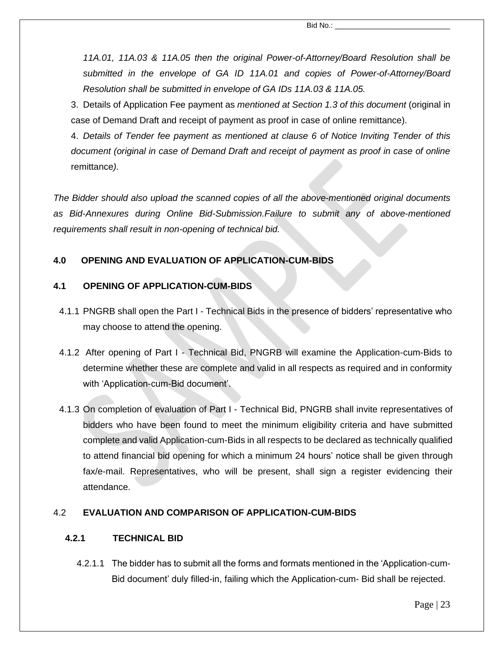*11A.01, 11A.03 & 11A.05 then the original Power-of-Attorney/Board Resolution shall be submitted in the envelope of GA ID 11A.01 and copies of Power-of-Attorney/Board Resolution shall be submitted in envelope of GA IDs 11A.03 & 11A.05.*

3. Details of Application Fee payment as *mentioned at Section 1.3 of this document* (original in case of Demand Draft and receipt of payment as proof in case of online remittance).

4. *Details of Tender fee payment as mentioned at clause 6 of Notice Inviting Tender of this document (original in case of Demand Draft and receipt of payment as proof in case of online*  remittance*).*

*The Bidder should also upload the scanned copies of all the above-mentioned original documents as Bid-Annexures during Online Bid-Submission.Failure to submit any of above-mentioned requirements shall result in non-opening of technical bid.*

#### **4.0 OPENING AND EVALUATION OF APPLICATION-CUM-BIDS**

#### **4.1 OPENING OF APPLICATION-CUM-BIDS**

- 4.1.1 PNGRB shall open the Part I Technical Bids in the presence of bidders' representative who may choose to attend the opening.
- 4.1.2 After opening of Part I Technical Bid, PNGRB will examine the Application-cum-Bids to determine whether these are complete and valid in all respects as required and in conformity with 'Application-cum-Bid document'.
- 4.1.3 On completion of evaluation of Part I Technical Bid, PNGRB shall invite representatives of bidders who have been found to meet the minimum eligibility criteria and have submitted complete and valid Application-cum-Bids in all respects to be declared as technically qualified to attend financial bid opening for which a minimum 24 hours' notice shall be given through fax/e-mail. Representatives, who will be present, shall sign a register evidencing their attendance.

#### 4.2 **EVALUATION AND COMPARISON OF APPLICATION-CUM-BIDS**

#### **4.2.1 TECHNICAL BID**

4.2.1.1 The bidder has to submit all the forms and formats mentioned in the 'Application-cum-Bid document' duly filled-in, failing which the Application-cum- Bid shall be rejected.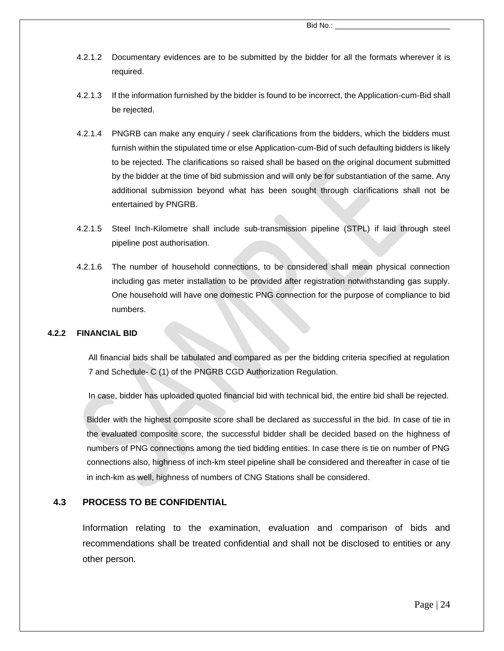Bid No.:

- 4.2.1.2 Documentary evidences are to be submitted by the bidder for all the formats wherever it is required.
- 4.2.1.3 If the information furnished by the bidder is found to be incorrect, the Application-cum-Bid shall be rejected.
- 4.2.1.4 PNGRB can make any enquiry / seek clarifications from the bidders, which the bidders must furnish within the stipulated time or else Application-cum-Bid of such defaulting bidders is likely to be rejected. The clarifications so raised shall be based on the original document submitted by the bidder at the time of bid submission and will only be for substantiation of the same. Any additional submission beyond what has been sought through clarifications shall not be entertained by PNGRB.
- 4.2.1.5 Steel Inch-Kilometre shall include sub-transmission pipeline (STPL) if laid through steel pipeline post authorisation.
- 4.2.1.6 The number of household connections, to be considered shall mean physical connection including gas meter installation to be provided after registration notwithstanding gas supply. One household will have one domestic PNG connection for the purpose of compliance to bid numbers.

#### **4.2.2 FINANCIAL BID**

All financial bids shall be tabulated and compared as per the bidding criteria specified at regulation 7 and Schedule- C (1) of the PNGRB CGD Authorization Regulation.

In case, bidder has uploaded quoted financial bid with technical bid, the entire bid shall be rejected.

Bidder with the highest composite score shall be declared as successful in the bid. In case of tie in the evaluated composite score, the successful bidder shall be decided based on the highness of numbers of PNG connections among the tied bidding entities. In case there is tie on number of PNG connections also, highness of inch-km steel pipeline shall be considered and thereafter in case of tie in inch-km as well, highness of numbers of CNG Stations shall be considered.

#### **4.3 PROCESS TO BE CONFIDENTIAL**

Information relating to the examination, evaluation and comparison of bids and recommendations shall be treated confidential and shall not be disclosed to entities or any other person.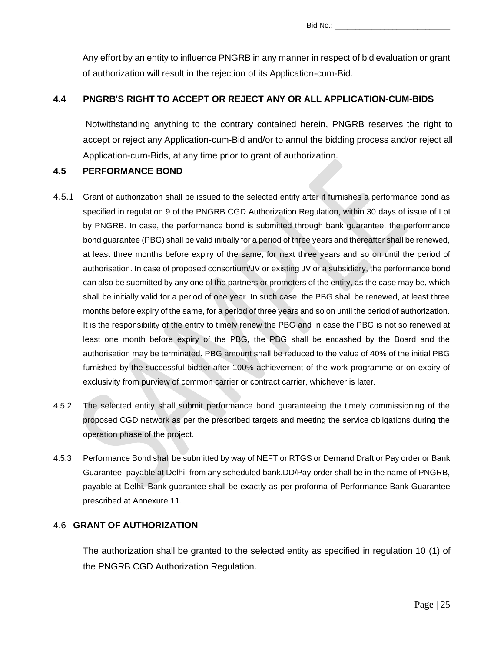Bid No.:

Any effort by an entity to influence PNGRB in any manner in respect of bid evaluation or grant of authorization will result in the rejection of its Application-cum-Bid.

#### **4.4 PNGRB'S RIGHT TO ACCEPT OR REJECT ANY OR ALL APPLICATION-CUM-BIDS**

Notwithstanding anything to the contrary contained herein, PNGRB reserves the right to accept or reject any Application-cum-Bid and/or to annul the bidding process and/or reject all Application-cum-Bids, at any time prior to grant of authorization.

#### **4.5 PERFORMANCE BOND**

- 4.5.1 Grant of authorization shall be issued to the selected entity after it furnishes a performance bond as specified in regulation 9 of the PNGRB CGD Authorization Regulation, within 30 days of issue of LoI by PNGRB. In case, the performance bond is submitted through bank guarantee, the performance bond guarantee (PBG) shall be valid initially for a period of three years and thereafter shall be renewed, at least three months before expiry of the same, for next three years and so on until the period of authorisation. In case of proposed consortium/JV or existing JV or a subsidiary, the performance bond can also be submitted by any one of the partners or promoters of the entity, as the case may be, which shall be initially valid for a period of one year. In such case, the PBG shall be renewed, at least three months before expiry of the same, for a period of three years and so on until the period of authorization. It is the responsibility of the entity to timely renew the PBG and in case the PBG is not so renewed at least one month before expiry of the PBG, the PBG shall be encashed by the Board and the authorisation may be terminated. PBG amount shall be reduced to the value of 40% of the initial PBG furnished by the successful bidder after 100% achievement of the work programme or on expiry of exclusivity from purview of common carrier or contract carrier, whichever is later.
- 4.5.2 The selected entity shall submit performance bond guaranteeing the timely commissioning of the proposed CGD network as per the prescribed targets and meeting the service obligations during the operation phase of the project.
- 4.5.3 Performance Bond shall be submitted by way of NEFT or RTGS or Demand Draft or Pay order or Bank Guarantee, payable at Delhi, from any scheduled bank.DD/Pay order shall be in the name of PNGRB, payable at Delhi. Bank guarantee shall be exactly as per proforma of Performance Bank Guarantee prescribed at Annexure 11.

#### 4.6 **GRANT OF AUTHORIZATION**

The authorization shall be granted to the selected entity as specified in regulation 10 (1) of the PNGRB CGD Authorization Regulation.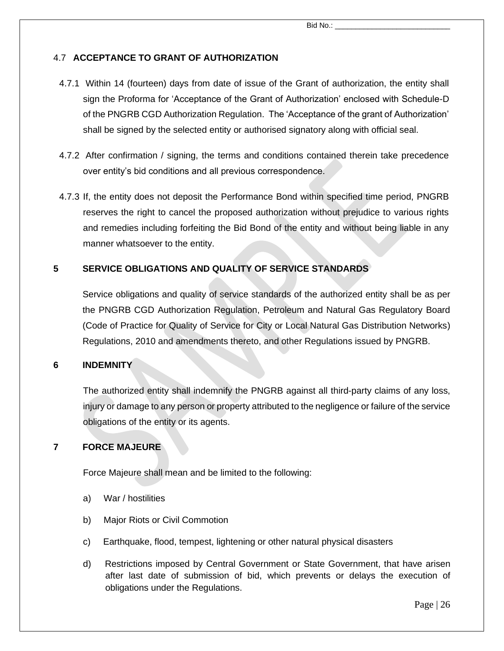#### 4.7 **ACCEPTANCE TO GRANT OF AUTHORIZATION**

- 4.7.1 Within 14 (fourteen) days from date of issue of the Grant of authorization, the entity shall sign the Proforma for 'Acceptance of the Grant of Authorization' enclosed with Schedule-D of the PNGRB CGD Authorization Regulation. The 'Acceptance of the grant of Authorization' shall be signed by the selected entity or authorised signatory along with official seal.
- 4.7.2 After confirmation / signing, the terms and conditions contained therein take precedence over entity's bid conditions and all previous correspondence.
- 4.7.3 If, the entity does not deposit the Performance Bond within specified time period, PNGRB reserves the right to cancel the proposed authorization without prejudice to various rights and remedies including forfeiting the Bid Bond of the entity and without being liable in any manner whatsoever to the entity.

#### **5 SERVICE OBLIGATIONS AND QUALITY OF SERVICE STANDARDS**

Service obligations and quality of service standards of the authorized entity shall be as per the PNGRB CGD Authorization Regulation, Petroleum and Natural Gas Regulatory Board (Code of Practice for Quality of Service for City or Local Natural Gas Distribution Networks) Regulations, 2010 and amendments thereto, and other Regulations issued by PNGRB.

#### **6 INDEMNITY**

The authorized entity shall indemnify the PNGRB against all third-party claims of any loss, injury or damage to any person or property attributed to the negligence or failure of the service obligations of the entity or its agents.

#### **7 FORCE MAJEURE**

Force Majeure shall mean and be limited to the following:

- a) War / hostilities
- b) Major Riots or Civil Commotion
- c) Earthquake, flood, tempest, lightening or other natural physical disasters
- d) Restrictions imposed by Central Government or State Government, that have arisen after last date of submission of bid, which prevents or delays the execution of obligations under the Regulations.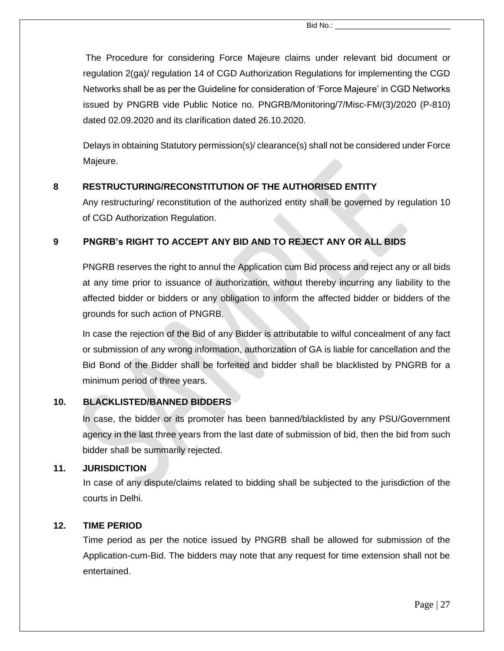The Procedure for considering Force Majeure claims under relevant bid document or regulation 2(ga)/ regulation 14 of CGD Authorization Regulations for implementing the CGD Networks shall be as per the Guideline for consideration of 'Force Majeure' in CGD Networks issued by PNGRB vide Public Notice no. PNGRB/Monitoring/7/Misc-FM/(3)/2020 (P-810) dated 02.09.2020 and its clarification dated 26.10.2020.

Delays in obtaining Statutory permission(s)/ clearance(s) shall not be considered under Force Majeure.

#### **8 RESTRUCTURING/RECONSTITUTION OF THE AUTHORISED ENTITY**

Any restructuring/ reconstitution of the authorized entity shall be governed by regulation 10 of CGD Authorization Regulation.

#### **9 PNGRB's RIGHT TO ACCEPT ANY BID AND TO REJECT ANY OR ALL BIDS**

PNGRB reserves the right to annul the Application cum Bid process and reject any or all bids at any time prior to issuance of authorization, without thereby incurring any liability to the affected bidder or bidders or any obligation to inform the affected bidder or bidders of the grounds for such action of PNGRB.

In case the rejection of the Bid of any Bidder is attributable to wilful concealment of any fact or submission of any wrong information, authorization of GA is liable for cancellation and the Bid Bond of the Bidder shall be forfeited and bidder shall be blacklisted by PNGRB for a minimum period of three years.

#### **10. BLACKLISTED/BANNED BIDDERS**

In case, the bidder or its promoter has been banned/blacklisted by any PSU/Government agency in the last three years from the last date of submission of bid, then the bid from such bidder shall be summarily rejected.

#### **11. JURISDICTION**

In case of any dispute/claims related to bidding shall be subjected to the jurisdiction of the courts in Delhi.

#### **12. TIME PERIOD**

Time period as per the notice issued by PNGRB shall be allowed for submission of the Application-cum-Bid. The bidders may note that any request for time extension shall not be entertained.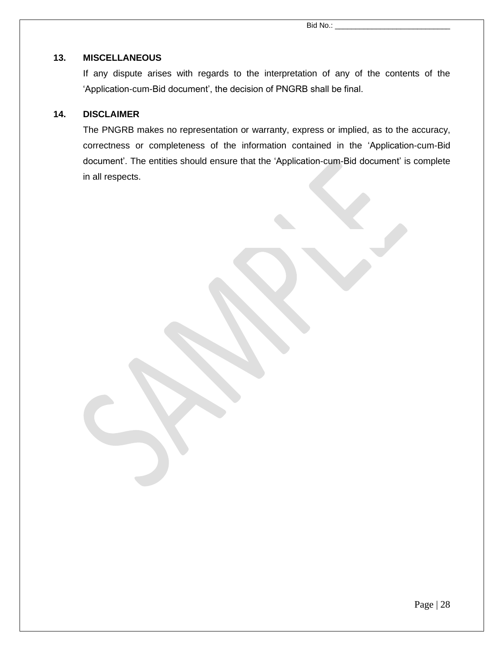#### **13. MISCELLANEOUS**

If any dispute arises with regards to the interpretation of any of the contents of the 'Application-cum-Bid document', the decision of PNGRB shall be final.

#### **14. DISCLAIMER**

The PNGRB makes no representation or warranty, express or implied, as to the accuracy, correctness or completeness of the information contained in the 'Application-cum-Bid document'. The entities should ensure that the 'Application-cum-Bid document' is complete in all respects.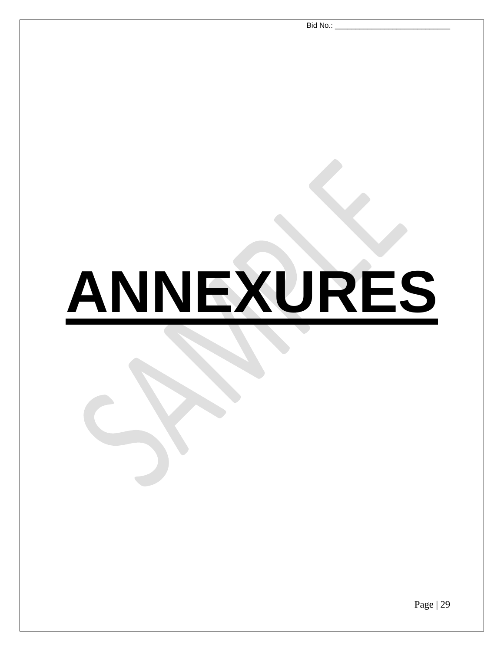Bid No.:

# **ANNEXURES**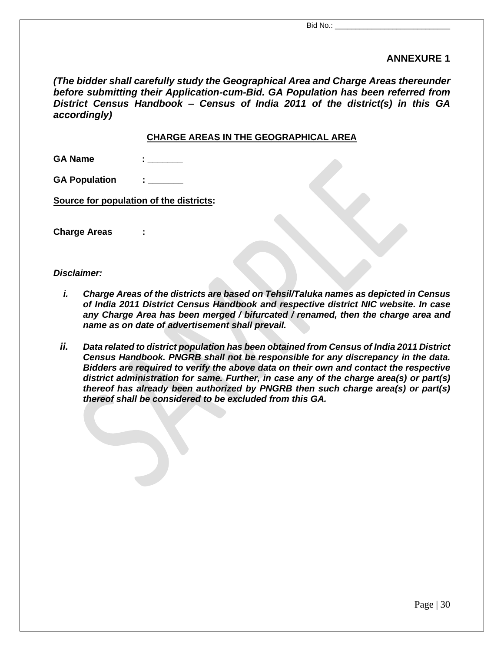#### **ANNEXURE 1**

*(The bidder shall carefully study the Geographical Area and Charge Areas thereunder before submitting their Application-cum-Bid. GA Population has been referred from District Census Handbook – Census of India 2011 of the district(s) in this GA accordingly)*

#### **CHARGE AREAS IN THE GEOGRAPHICAL AREA**

| <b>GA Name</b> |  |
|----------------|--|
|                |  |

**GA Population : \_\_\_\_\_\_\_**

**Source for population of the districts:**

**Charge Areas :**

#### *Disclaimer:*

- *i. Charge Areas of the districts are based on Tehsil/Taluka names as depicted in Census of India 2011 District Census Handbook and respective district NIC website. In case any Charge Area has been merged / bifurcated / renamed, then the charge area and name as on date of advertisement shall prevail.*
- *ii. Data related to district population has been obtained from Census of India 2011 District Census Handbook. PNGRB shall not be responsible for any discrepancy in the data. Bidders are required to verify the above data on their own and contact the respective district administration for same. Further, in case any of the charge area(s) or part(s) thereof has already been authorized by PNGRB then such charge area(s) or part(s) thereof shall be considered to be excluded from this GA.*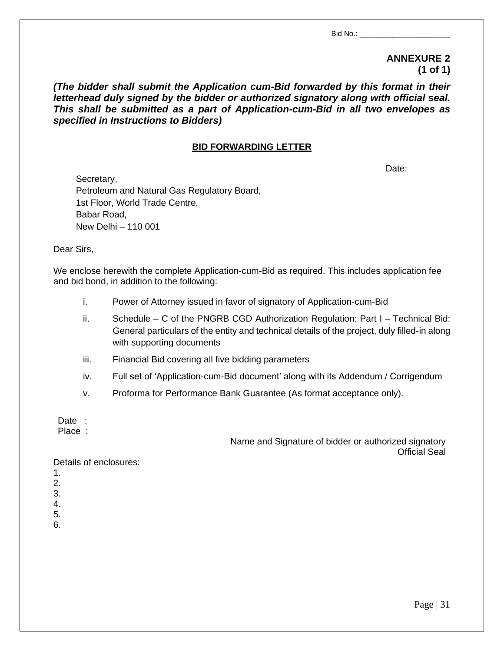#### **ANNEXURE 2 (1 of 1)**

*(The bidder shall submit the Application cum-Bid forwarded by this format in their letterhead duly signed by the bidder or authorized signatory along with official seal. This shall be submitted as a part of Application-cum-Bid in all two envelopes as specified in Instructions to Bidders)*

#### **BID FORWARDING LETTER**

Date:

Secretary, Petroleum and Natural Gas Regulatory Board, 1st Floor, World Trade Centre, Babar Road, New Delhi – 110 001

Dear Sirs,

We enclose herewith the complete Application-cum-Bid as required. This includes application fee and bid bond, in addition to the following:

- i. Power of Attorney issued in favor of signatory of Application-cum-Bid
- ii. Schedule C of the PNGRB CGD Authorization Regulation: Part I Technical Bid: General particulars of the entity and technical details of the project, duly filled-in along with supporting documents
- iii. Financial Bid covering all five bidding parameters
- iv. Full set of 'Application-cum-Bid document' along with its Addendum / Corrigendum
- v. Proforma for Performance Bank Guarantee (As format acceptance only).

Date :

Place :

Name and Signature of bidder or authorized signatory Official Seal

Details of enclosures:

- 1.
- 2.
- 3.
- 4.
- 5.
- 6.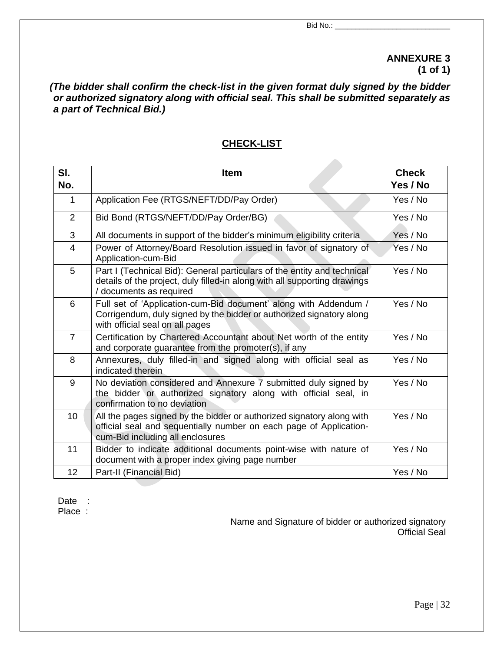#### **ANNEXURE 3 (1 of 1)**

*(The bidder shall confirm the check-list in the given format duly signed by the bidder or authorized signatory along with official seal. This shall be submitted separately as a part of Technical Bid.)*

#### **CHECK-LIST**

| SI.<br>No.     | <b>Item</b>                                                                                                                                                                                 | <b>Check</b><br>Yes / No |
|----------------|---------------------------------------------------------------------------------------------------------------------------------------------------------------------------------------------|--------------------------|
|                |                                                                                                                                                                                             |                          |
| $\mathbf{1}$   | Application Fee (RTGS/NEFT/DD/Pay Order)                                                                                                                                                    | Yes / No                 |
| $\overline{2}$ | Bid Bond (RTGS/NEFT/DD/Pay Order/BG)                                                                                                                                                        | Yes / No                 |
| 3              | All documents in support of the bidder's minimum eligibility criteria                                                                                                                       | Yes / No                 |
| 4              | Power of Attorney/Board Resolution issued in favor of signatory of<br>Yes / No<br>Application-cum-Bid                                                                                       |                          |
| 5              | Part I (Technical Bid): General particulars of the entity and technical<br>Yes / No<br>details of the project, duly filled-in along with all supporting drawings<br>/ documents as required |                          |
| 6              | Full set of 'Application-cum-Bid document' along with Addendum /<br>Corrigendum, duly signed by the bidder or authorized signatory along<br>with official seal on all pages                 | Yes / No                 |
| $\overline{7}$ | Certification by Chartered Accountant about Net worth of the entity<br>and corporate guarantee from the promoter(s), if any                                                                 | Yes / No                 |
| 8              | Annexures, duly filled-in and signed along with official seal as<br>Yes / No<br>indicated therein                                                                                           |                          |
| 9              | No deviation considered and Annexure 7 submitted duly signed by<br>the bidder or authorized signatory along with official seal, in<br>confirmation to no deviation                          | Yes / No                 |
| 10             | All the pages signed by the bidder or authorized signatory along with<br>official seal and sequentially number on each page of Application-<br>cum-Bid including all enclosures             | Yes / No                 |
| 11             | Bidder to indicate additional documents point-wise with nature of<br>document with a proper index giving page number                                                                        | Yes / No                 |
| 12             | Part-II (Financial Bid)                                                                                                                                                                     | Yes / No                 |

Date : Place :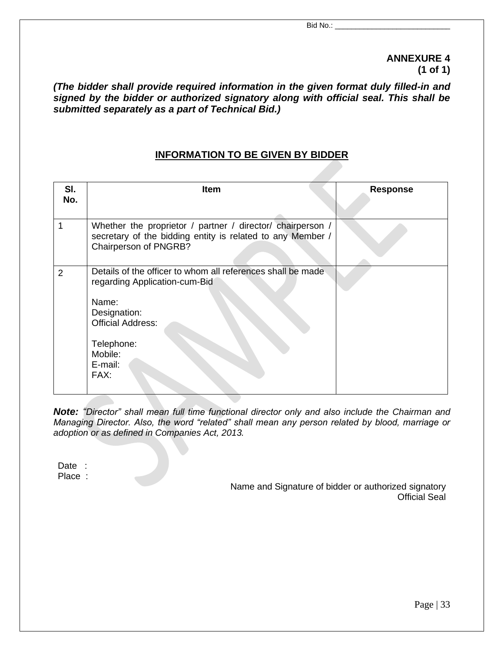#### **ANNEXURE 4 (1 of 1)**

*(The bidder shall provide required information in the given format duly filled-in and signed by the bidder or authorized signatory along with official seal. This shall be submitted separately as a part of Technical Bid.)*

#### **INFORMATION TO BE GIVEN BY BIDDER**

| SI.<br>No.     | <b>Item</b>                                                                                                                                                                                   | <b>Response</b> |
|----------------|-----------------------------------------------------------------------------------------------------------------------------------------------------------------------------------------------|-----------------|
| 1              | Whether the proprietor / partner / director/ chairperson /<br>secretary of the bidding entity is related to any Member /<br>Chairperson of PNGRB?                                             |                 |
| $\overline{2}$ | Details of the officer to whom all references shall be made<br>regarding Application-cum-Bid<br>Name:<br>Designation:<br><b>Official Address:</b><br>Telephone:<br>Mobile:<br>E-mail:<br>FAX: |                 |

*Note: "Director" shall mean full time functional director only and also include the Chairman and Managing Director. Also, the word "related" shall mean any person related by blood, marriage or adoption or as defined in Companies Act, 2013.*

Date : Place :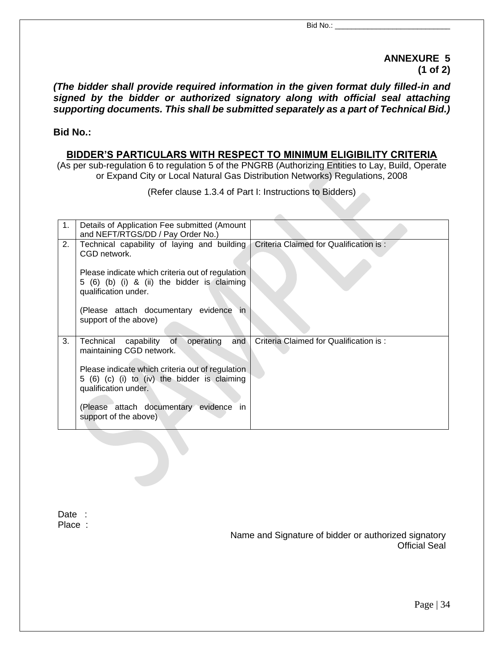#### **ANNEXURE 5 (1 of 2)**

*(The bidder shall provide required information in the given format duly filled-in and signed by the bidder or authorized signatory along with official seal attaching supporting documents. This shall be submitted separately as a part of Technical Bid.)*

#### **Bid No.:**

#### **BIDDER'S PARTICULARS WITH RESPECT TO MINIMUM ELIGIBILITY CRITERIA**

(As per sub-regulation 6 to regulation 5 of the PNGRB (Authorizing Entities to Lay, Build, Operate or Expand City or Local Natural Gas Distribution Networks) Regulations, 2008

(Refer clause 1.3.4 of Part I: Instructions to Bidders)

 $\mathcal{L}$ 

| 1. | Details of Application Fee submitted (Amount<br>and NEFT/RTGS/DD / Pay Order No.)                                        |                                        |
|----|--------------------------------------------------------------------------------------------------------------------------|----------------------------------------|
| 2. | Technical capability of laying and building<br>CGD network.                                                              | Criteria Claimed for Qualification is: |
|    | Please indicate which criteria out of regulation<br>5 (6) (b) (i) & (ii) the bidder is claiming<br>qualification under.  |                                        |
|    | (Please attach documentary evidence<br>in.<br>support of the above)                                                      |                                        |
| 3. | of<br>operating<br>Technical capability<br>and<br>maintaining CGD network.                                               | Criteria Claimed for Qualification is: |
|    | Please indicate which criteria out of regulation<br>5 (6) (c) (i) to (iv) the bidder is claiming<br>qualification under. |                                        |
|    | (Please attach documentary evidence<br>-in<br>support of the above)                                                      |                                        |

Date : Place :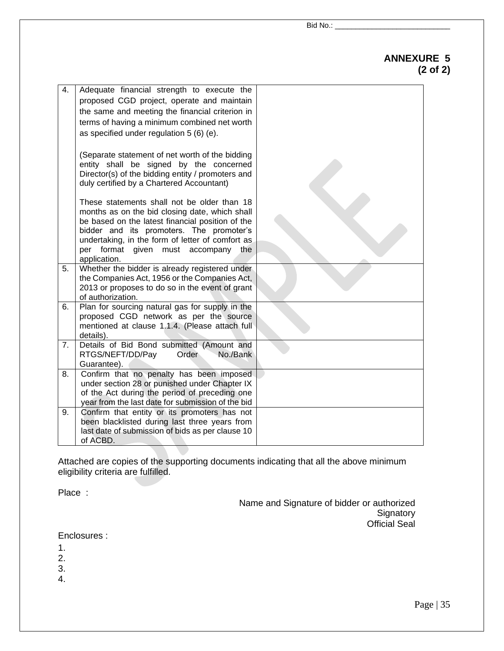#### **ANNEXURE 5 (2 of 2)**

| 4. | Adequate financial strength to execute the<br>proposed CGD project, operate and maintain<br>the same and meeting the financial criterion in<br>terms of having a minimum combined net worth<br>as specified under regulation 5 (6) (e).                                                                     |  |
|----|-------------------------------------------------------------------------------------------------------------------------------------------------------------------------------------------------------------------------------------------------------------------------------------------------------------|--|
|    | (Separate statement of net worth of the bidding<br>entity shall be signed by the concerned<br>Director(s) of the bidding entity / promoters and<br>duly certified by a Chartered Accountant)                                                                                                                |  |
|    | These statements shall not be older than 18<br>months as on the bid closing date, which shall<br>be based on the latest financial position of the<br>bidder and its promoters. The promoter's<br>undertaking, in the form of letter of comfort as<br>per format given must accompany<br>the<br>application. |  |
| 5. | Whether the bidder is already registered under<br>the Companies Act, 1956 or the Companies Act,<br>2013 or proposes to do so in the event of grant<br>of authorization.                                                                                                                                     |  |
| 6. | Plan for sourcing natural gas for supply in the<br>proposed CGD network as per the source<br>mentioned at clause 1.1.4. (Please attach full<br>details).                                                                                                                                                    |  |
| 7. | Details of Bid Bond submitted (Amount and<br>RTGS/NEFT/DD/Pay<br>No./Bank<br>Order<br>Guarantee).                                                                                                                                                                                                           |  |
| 8. | Confirm that no penalty has been imposed<br>under section 28 or punished under Chapter IX<br>of the Act during the period of preceding one<br>year from the last date for submission of the bid                                                                                                             |  |
| 9. | Confirm that entity or its promoters has not<br>been blacklisted during last three years from<br>last date of submission of bids as per clause 10<br>of ACBD.                                                                                                                                               |  |

Attached are copies of the supporting documents indicating that all the above minimum eligibility criteria are fulfilled.

Place :

Name and Signature of bidder or authorized Signatory Official Seal

Enclosures :

- 1.
- 2.
- 3.
- 4.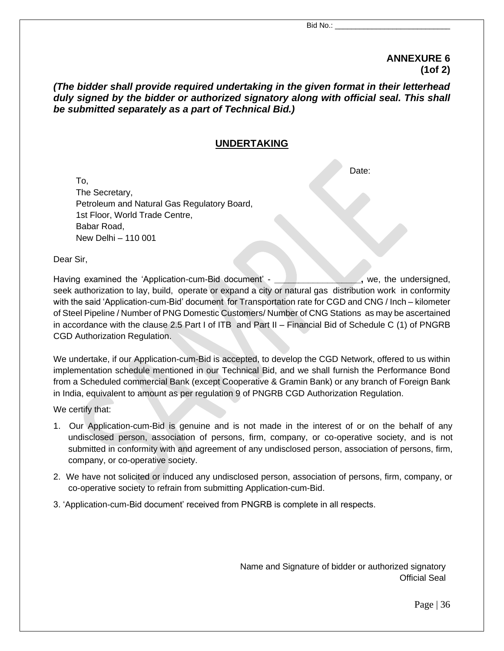Date:

#### **ANNEXURE 6 (1of 2)**

#### *(The bidder shall provide required undertaking in the given format in their letterhead duly signed by the bidder or authorized signatory along with official seal. This shall be submitted separately as a part of Technical Bid.)*

#### **UNDERTAKING**

To,

The Secretary, Petroleum and Natural Gas Regulatory Board, 1st Floor, World Trade Centre, Babar Road, New Delhi – 110 001

Dear Sir,

Having examined the 'Application-cum-Bid document' - **\_\_\_\_\_\_\_\_\_\_\_\_\_\_\_\_\_\_,** we, the undersigned, seek authorization to lay, build, operate or expand a city or natural gas distribution work in conformity with the said 'Application-cum-Bid' document for Transportation rate for CGD and CNG / Inch – kilometer of Steel Pipeline / Number of PNG Domestic Customers/ Number of CNG Stations as may be ascertained in accordance with the clause 2.5 Part I of ITB and Part II – Financial Bid of Schedule C (1) of PNGRB CGD Authorization Regulation.

We undertake, if our Application-cum-Bid is accepted, to develop the CGD Network, offered to us within implementation schedule mentioned in our Technical Bid, and we shall furnish the Performance Bond from a Scheduled commercial Bank (except Cooperative & Gramin Bank) or any branch of Foreign Bank in India, equivalent to amount as per regulation 9 of PNGRB CGD Authorization Regulation.

We certify that:

- 1. Our Application-cum-Bid is genuine and is not made in the interest of or on the behalf of any undisclosed person, association of persons, firm, company, or co-operative society, and is not submitted in conformity with and agreement of any undisclosed person, association of persons, firm, company, or co-operative society.
- 2. We have not solicited or induced any undisclosed person, association of persons, firm, company, or co-operative society to refrain from submitting Application-cum-Bid.
- 3. 'Application-cum-Bid document' received from PNGRB is complete in all respects.

Name and Signature of bidder or authorized signatory Official Seal

Page | 36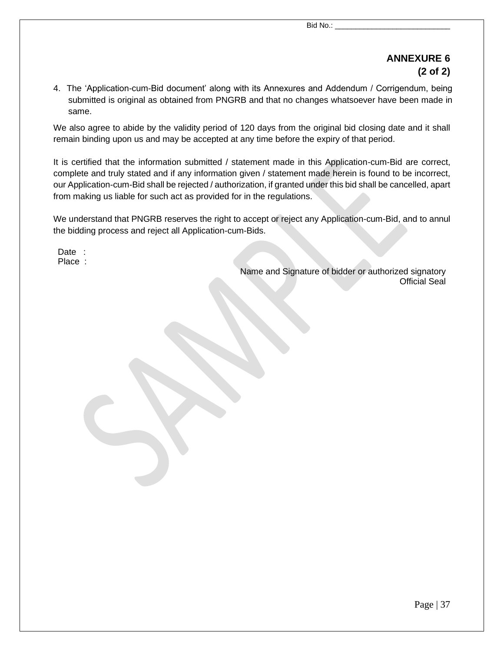## **ANNEXURE 6 (2 of 2)**

4. The 'Application-cum-Bid document' along with its Annexures and Addendum / Corrigendum, being submitted is original as obtained from PNGRB and that no changes whatsoever have been made in same.

We also agree to abide by the validity period of 120 days from the original bid closing date and it shall remain binding upon us and may be accepted at any time before the expiry of that period.

It is certified that the information submitted / statement made in this Application-cum-Bid are correct, complete and truly stated and if any information given / statement made herein is found to be incorrect, our Application-cum-Bid shall be rejected / authorization, if granted under this bid shall be cancelled, apart from making us liable for such act as provided for in the regulations.

We understand that PNGRB reserves the right to accept or reject any Application-cum-Bid, and to annul the bidding process and reject all Application-cum-Bids.

Date : Place :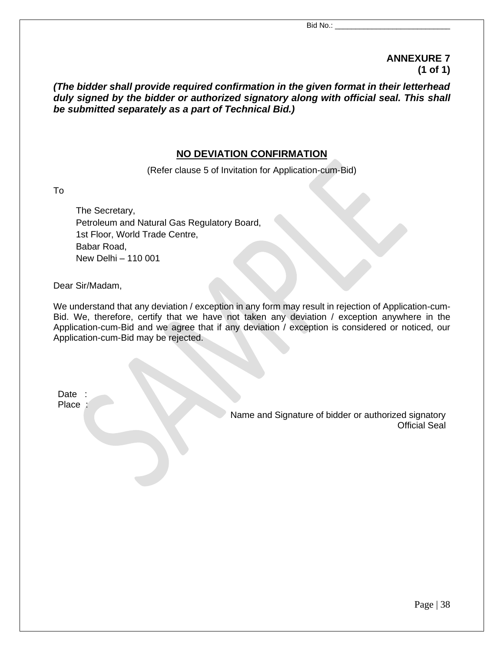#### **ANNEXURE 7 (1 of 1)**

*(The bidder shall provide required confirmation in the given format in their letterhead duly signed by the bidder or authorized signatory along with official seal. This shall be submitted separately as a part of Technical Bid.)*

#### **NO DEVIATION CONFIRMATION**

(Refer clause 5 of Invitation for Application-cum-Bid)

To

The Secretary, Petroleum and Natural Gas Regulatory Board, 1st Floor, World Trade Centre, Babar Road, New Delhi – 110 001

Dear Sir/Madam,

We understand that any deviation / exception in any form may result in rejection of Application-cum-Bid. We, therefore, certify that we have not taken any deviation / exception anywhere in the Application-cum-Bid and we agree that if any deviation / exception is considered or noticed, our Application-cum-Bid may be rejected.

Date : Place :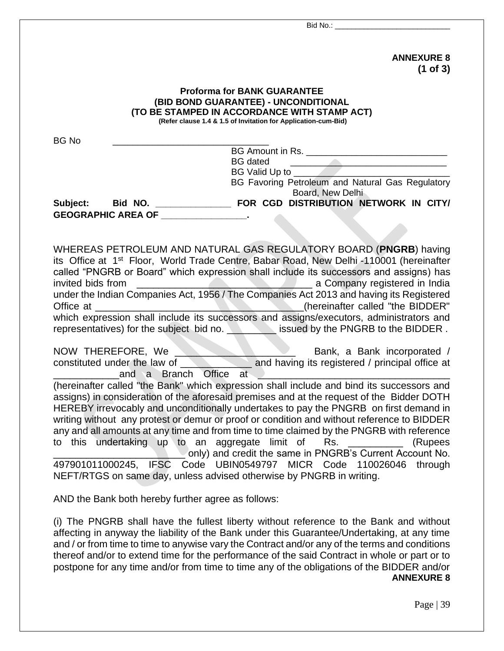| <b>ANNEXURE 8</b><br>$(1$ of 3)                                                                                                                                                                                                                                                                                                                                                                                                                                                                                                                                                                                                                                                                                                                           |
|-----------------------------------------------------------------------------------------------------------------------------------------------------------------------------------------------------------------------------------------------------------------------------------------------------------------------------------------------------------------------------------------------------------------------------------------------------------------------------------------------------------------------------------------------------------------------------------------------------------------------------------------------------------------------------------------------------------------------------------------------------------|
| <b>Proforma for BANK GUARANTEE</b><br>(BID BOND GUARANTEE) - UNCONDITIONAL<br>(TO BE STAMPED IN ACCORDANCE WITH STAMP ACT)<br>(Refer clause 1.4 & 1.5 of Invitation for Application-cum-Bid)                                                                                                                                                                                                                                                                                                                                                                                                                                                                                                                                                              |
| <b>BG No</b><br><b>BG</b> dated<br><u> Estados de la contrada de la contrada de la contrada de la contrada de la contrada de la contrada de la contrad</u><br>BG Favoring Petroleum and Natural Gas Regulatory<br>Board, New Delhi                                                                                                                                                                                                                                                                                                                                                                                                                                                                                                                        |
| GEOGRAPHIC AREA OF PARAMETER AND RESIDENCE                                                                                                                                                                                                                                                                                                                                                                                                                                                                                                                                                                                                                                                                                                                |
| WHEREAS PETROLEUM AND NATURAL GAS REGULATORY BOARD (PNGRB) having<br>its Office at 1 <sup>st</sup> Floor, World Trade Centre, Babar Road, New Delhi -110001 (hereinafter<br>called "PNGRB or Board" which expression shall include its successors and assigns) has<br>under the Indian Companies Act, 1956 / The Companies Act 2013 and having its Registered<br>which expression shall include its successors and assigns/executors, administrators and<br>representatives) for the subject bid no. <b>We also increase issued by the PNGRB to the BIDDER</b> .                                                                                                                                                                                          |
| and a Branch Office at                                                                                                                                                                                                                                                                                                                                                                                                                                                                                                                                                                                                                                                                                                                                    |
| (hereinafter called "the Bank" which expression shall include and bind its successors and<br>assigns) in consideration of the aforesaid premises and at the request of the Bidder DOTH<br>HEREBY irrevocably and unconditionally undertakes to pay the PNGRB on first demand in<br>writing without any protest or demur or proof or condition and without reference to BIDDER<br>any and all amounts at any time and from time to time claimed by the PNGRB with reference<br>to this undertaking up to an aggregate limit of<br>(Rupees<br>Rs.<br>only) and credit the same in PNGRB's Current Account No.<br>497901011000245, IFSC Code UBIN0549797 MICR Code 110026046 through<br>NEFT/RTGS on same day, unless advised otherwise by PNGRB in writing. |
| AND the Bank both hereby further agree as follows:                                                                                                                                                                                                                                                                                                                                                                                                                                                                                                                                                                                                                                                                                                        |
| (i) The PNGRB shall have the fullest liberty without reference to the Bank and without<br>affecting in anyway the liability of the Bank under this Guarantee/Undertaking, at any time<br>and / or from time to time to anywise vary the Contract and/or any of the terms and conditions<br>thereof and/or to extend time for the performance of the said Contract in whole or part or to<br>postpone for any time and/or from time to time any of the obligations of the BIDDER and/or                                                                                                                                                                                                                                                                    |

#### **ANNEXURE 8**

Page | 39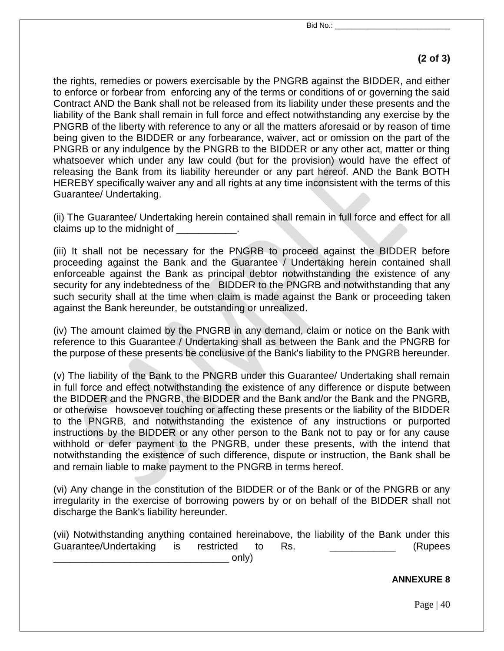## **(2 of 3)**

the rights, remedies or powers exercisable by the PNGRB against the BIDDER, and either to enforce or forbear from enforcing any of the terms or conditions of or governing the said Contract AND the Bank shall not be released from its liability under these presents and the liability of the Bank shall remain in full force and effect notwithstanding any exercise by the PNGRB of the liberty with reference to any or all the matters aforesaid or by reason of time being given to the BIDDER or any forbearance, waiver, act or omission on the part of the PNGRB or any indulgence by the PNGRB to the BIDDER or any other act, matter or thing whatsoever which under any law could (but for the provision) would have the effect of releasing the Bank from its liability hereunder or any part hereof. AND the Bank BOTH HEREBY specifically waiver any and all rights at any time inconsistent with the terms of this Guarantee/ Undertaking.

(ii) The Guarantee/ Undertaking herein contained shall remain in full force and effect for all claims up to the midnight of  $\qquad \qquad$ .

(iii) It shall not be necessary for the PNGRB to proceed against the BIDDER before proceeding against the Bank and the Guarantee / Undertaking herein contained shall enforceable against the Bank as principal debtor notwithstanding the existence of any security for any indebtedness of the BIDDER to the PNGRB and notwithstanding that any such security shall at the time when claim is made against the Bank or proceeding taken against the Bank hereunder, be outstanding or unrealized.

(iv) The amount claimed by the PNGRB in any demand, claim or notice on the Bank with reference to this Guarantee / Undertaking shall as between the Bank and the PNGRB for the purpose of these presents be conclusive of the Bank's liability to the PNGRB hereunder.

(v) The liability of the Bank to the PNGRB under this Guarantee/ Undertaking shall remain in full force and effect notwithstanding the existence of any difference or dispute between the BIDDER and the PNGRB, the BIDDER and the Bank and/or the Bank and the PNGRB, or otherwise howsoever touching or affecting these presents or the liability of the BIDDER to the PNGRB, and notwithstanding the existence of any instructions or purported instructions by the BIDDER or any other person to the Bank not to pay or for any cause withhold or defer payment to the PNGRB, under these presents, with the intend that notwithstanding the existence of such difference, dispute or instruction, the Bank shall be and remain liable to make payment to the PNGRB in terms hereof.

(vi) Any change in the constitution of the BIDDER or of the Bank or of the PNGRB or any irregularity in the exercise of borrowing powers by or on behalf of the BIDDER shall not discharge the Bank's liability hereunder.

(vii) Notwithstanding anything contained hereinabove, the liability of the Bank under this Guarantee/Undertaking is restricted to Rs. **Example 18 and 18 and 18 and 18 and 18 and 18 and 18 and 18 and 18**  $\_$  only)

#### **ANNEXURE 8**

Page  $|40\rangle$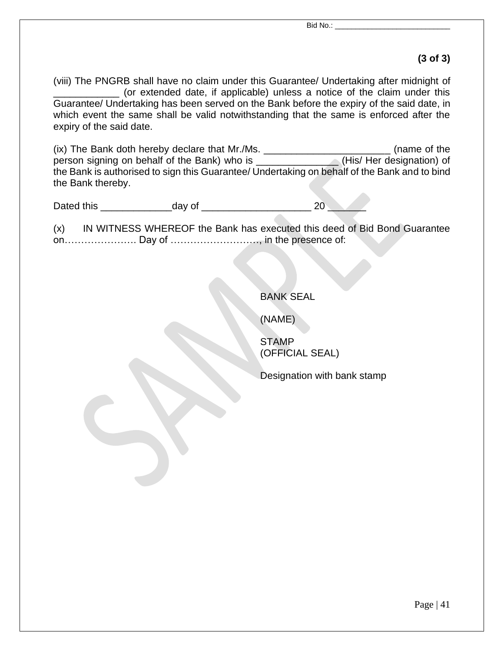#### **(3 of 3)**

(viii) The PNGRB shall have no claim under this Guarantee/ Undertaking after midnight of \_\_\_\_\_\_\_\_\_\_\_\_ (or extended date, if applicable) unless a notice of the claim under this Guarantee/ Undertaking has been served on the Bank before the expiry of the said date, in which event the same shall be valid notwithstanding that the same is enforced after the expiry of the said date.

(ix) The Bank doth hereby declare that Mr./Ms. \_\_\_\_\_\_\_\_\_\_\_\_\_\_\_\_\_\_\_\_\_\_\_ (name of the person signing on behalf of the Bank) who is \_\_\_\_\_\_\_\_\_\_\_\_\_\_\_ (His/ Her designation) of the Bank is authorised to sign this Guarantee/ Undertaking on behalf of the Bank and to bind the Bank thereby.

Dated this \_\_\_\_\_\_\_\_\_\_\_\_\_day of \_\_\_\_\_\_\_\_\_\_\_\_\_\_\_\_\_\_\_\_ 20 \_\_\_\_\_\_\_

(x) IN WITNESS WHEREOF the Bank has executed this deed of Bid Bond Guarantee on…………………. Day of ………………………, in the presence of:

BANK SEAL

(NAME)

STAMP (OFFICIAL SEAL)

Designation with bank stamp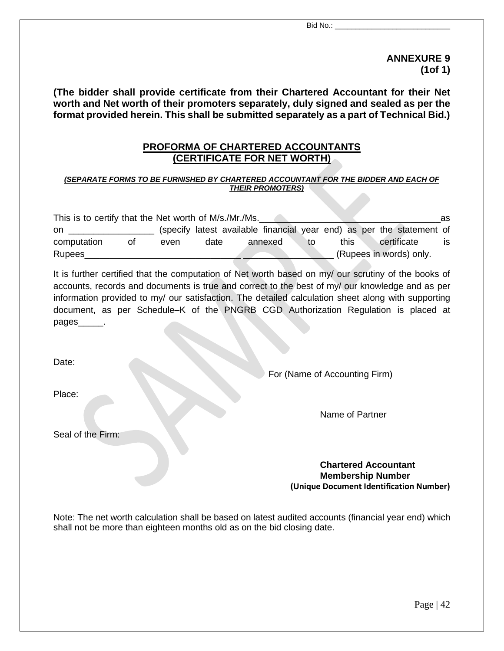**ANNEXURE 9 (1of 1)**

**(The bidder shall provide certificate from their Chartered Accountant for their Net worth and Net worth of their promoters separately, duly signed and sealed as per the format provided herein. This shall be submitted separately as a part of Technical Bid.)**

#### **PROFORMA OF CHARTERED ACCOUNTANTS (CERTIFICATE FOR NET WORTH)**

#### *(SEPARATE FORMS TO BE FURNISHED BY CHARTERED ACCOUNTANT FOR THE BIDDER AND EACH OF THEIR PROMOTERS)*

| This is to certify that the Net worth of M/s./Mr./Ms.<br>as |    |      |      |  |         |    |  |      |  |                                                                       |    |
|-------------------------------------------------------------|----|------|------|--|---------|----|--|------|--|-----------------------------------------------------------------------|----|
| on.                                                         |    |      |      |  |         |    |  |      |  | (specify latest available financial year end) as per the statement of |    |
| computation                                                 | Οt | even | date |  | annexed | to |  | this |  | certificate                                                           | is |
| <b>Rupees</b>                                               |    |      |      |  |         |    |  |      |  | (Rupees in words) only.                                               |    |

It is further certified that the computation of Net worth based on my/ our scrutiny of the books of accounts, records and documents is true and correct to the best of my/ our knowledge and as per information provided to my/ our satisfaction. The detailed calculation sheet along with supporting document, as per Schedule–K of the PNGRB CGD Authorization Regulation is placed at pages

Date:

For (Name of Accounting Firm)

Place:

Name of Partner

Seal of the Firm:

**Chartered Accountant Membership Number (Unique Document Identification Number)**

Note: The net worth calculation shall be based on latest audited accounts (financial year end) which shall not be more than eighteen months old as on the bid closing date.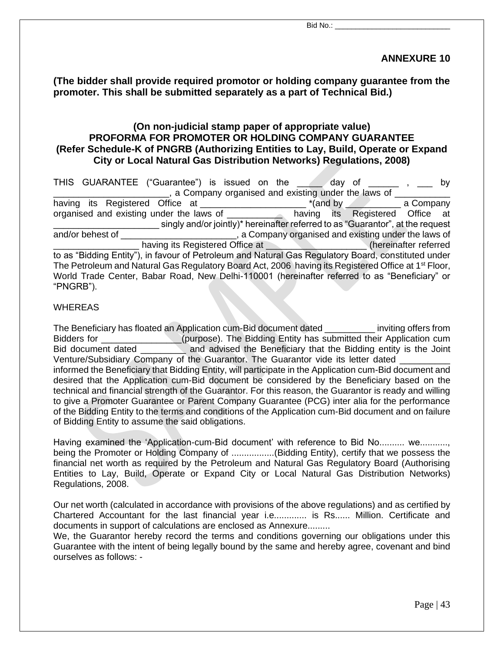#### **ANNEXURE 10**

**(The bidder shall provide required promotor or holding company guarantee from the promoter. This shall be submitted separately as a part of Technical Bid.)**

#### **(On non-judicial stamp paper of appropriate value) PROFORMA FOR PROMOTER OR HOLDING COMPANY GUARANTEE (Refer Schedule-K of PNGRB (Authorizing Entities to Lay, Build, Operate or Expand City or Local Natural Gas Distribution Networks) Regulations, 2008)**

| THIS GUARANTEE ("Guarantee") is issued on the and day of the state of your service by                           |                                                                                |
|-----------------------------------------------------------------------------------------------------------------|--------------------------------------------------------------------------------|
| a Company organised and existing under the laws of                                                              |                                                                                |
|                                                                                                                 | $*(and by \_ a $ a Company                                                     |
| organised and existing under the laws of _____________ having its Registered Office at                          |                                                                                |
|                                                                                                                 | singly and/or jointly)* hereinafter referred to as "Guarantor", at the request |
| and/or behest of                                                                                                | a Company organised and existing under the laws of                             |
| having its Registered Office at <b>Network</b> (hereinafter referred                                            |                                                                                |
| to as "Bidding Entity"), in favour of Petroleum and Natural Gas Regulatory Board, constituted under             |                                                                                |
| The Petroleum and Natural Gas Regulatory Board Act, 2006 having its Registered Office at 1 <sup>st</sup> Floor, |                                                                                |
| World Trade Center, Babar Road, New Delhi-110001 (hereinafter referred to as "Beneficiary" or<br>"PNGRB").      |                                                                                |
|                                                                                                                 |                                                                                |

#### WHEREAS

The Beneficiary has floated an Application cum-Bid document dated \_\_\_\_\_\_\_\_\_\_ inviting offers from Bidders for \_\_\_\_\_\_\_\_\_\_\_\_\_\_\_\_(purpose). The Bidding Entity has submitted their Application cum Bid document dated **and advised the Beneficiary that the Bidding entity is the Joint** Venture/Subsidiary Company of the Guarantor. The Guarantor vide its letter dated \_\_\_\_\_\_\_\_\_\_ informed the Beneficiary that Bidding Entity, will participate in the Application cum-Bid document and desired that the Application cum-Bid document be considered by the Beneficiary based on the technical and financial strength of the Guarantor. For this reason, the Guarantor is ready and willing to give a Promoter Guarantee or Parent Company Guarantee (PCG) inter alia for the performance of the Bidding Entity to the terms and conditions of the Application cum-Bid document and on failure of Bidding Entity to assume the said obligations.

Having examined the 'Application-cum-Bid document' with reference to Bid No.......... we........... being the Promoter or Holding Company of .................(Bidding Entity), certify that we possess the financial net worth as required by the Petroleum and Natural Gas Regulatory Board (Authorising Entities to Lay, Build, Operate or Expand City or Local Natural Gas Distribution Networks) Regulations, 2008.

Our net worth (calculated in accordance with provisions of the above regulations) and as certified by Chartered Accountant for the last financial year i.e............. is Rs...... Million. Certificate and documents in support of calculations are enclosed as Annexure.........

We, the Guarantor hereby record the terms and conditions governing our obligations under this Guarantee with the intent of being legally bound by the same and hereby agree, covenant and bind ourselves as follows: -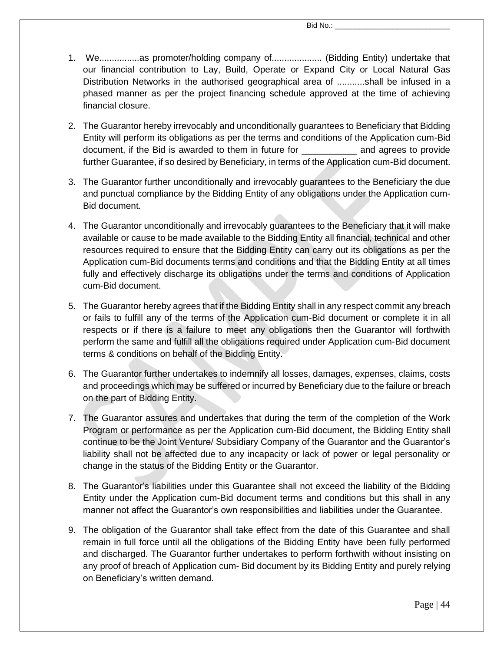- 1. We................as promoter/holding company of.................... (Bidding Entity) undertake that our financial contribution to Lay, Build, Operate or Expand City or Local Natural Gas Distribution Networks in the authorised geographical area of ...........shall be infused in a phased manner as per the project financing schedule approved at the time of achieving financial closure.
- 2. The Guarantor hereby irrevocably and unconditionally guarantees to Beneficiary that Bidding Entity will perform its obligations as per the terms and conditions of the Application cum-Bid document, if the Bid is awarded to them in future for Tank and agrees to provide further Guarantee, if so desired by Beneficiary, in terms of the Application cum-Bid document.
- 3. The Guarantor further unconditionally and irrevocably guarantees to the Beneficiary the due and punctual compliance by the Bidding Entity of any obligations under the Application cum-Bid document.
- 4. The Guarantor unconditionally and irrevocably guarantees to the Beneficiary that it will make available or cause to be made available to the Bidding Entity all financial, technical and other resources required to ensure that the Bidding Entity can carry out its obligations as per the Application cum-Bid documents terms and conditions and that the Bidding Entity at all times fully and effectively discharge its obligations under the terms and conditions of Application cum-Bid document.
- 5. The Guarantor hereby agrees that if the Bidding Entity shall in any respect commit any breach or fails to fulfill any of the terms of the Application cum-Bid document or complete it in all respects or if there is a failure to meet any obligations then the Guarantor will forthwith perform the same and fulfill all the obligations required under Application cum-Bid document terms & conditions on behalf of the Bidding Entity.
- 6. The Guarantor further undertakes to indemnify all losses, damages, expenses, claims, costs and proceedings which may be suffered or incurred by Beneficiary due to the failure or breach on the part of Bidding Entity.
- 7. The Guarantor assures and undertakes that during the term of the completion of the Work Program or performance as per the Application cum-Bid document, the Bidding Entity shall continue to be the Joint Venture/ Subsidiary Company of the Guarantor and the Guarantor's liability shall not be affected due to any incapacity or lack of power or legal personality or change in the status of the Bidding Entity or the Guarantor.
- 8. The Guarantor's liabilities under this Guarantee shall not exceed the liability of the Bidding Entity under the Application cum-Bid document terms and conditions but this shall in any manner not affect the Guarantor's own responsibilities and liabilities under the Guarantee.
- 9. The obligation of the Guarantor shall take effect from the date of this Guarantee and shall remain in full force until all the obligations of the Bidding Entity have been fully performed and discharged. The Guarantor further undertakes to perform forthwith without insisting on any proof of breach of Application cum- Bid document by its Bidding Entity and purely relying on Beneficiary's written demand.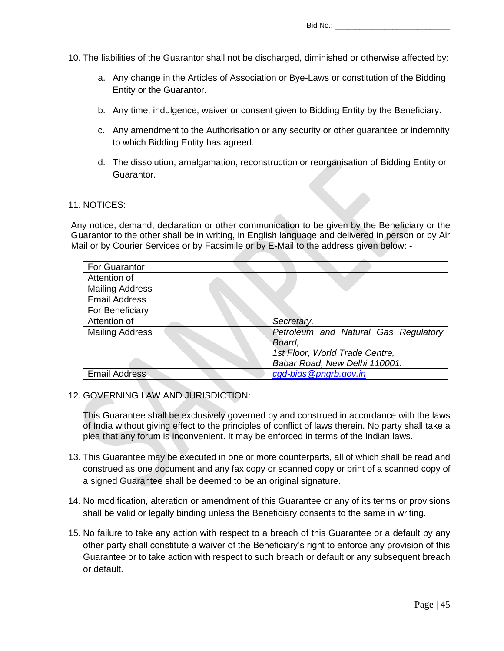- 10. The liabilities of the Guarantor shall not be discharged, diminished or otherwise affected by:
	- a. Any change in the Articles of Association or Bye-Laws or constitution of the Bidding Entity or the Guarantor.
	- b. Any time, indulgence, waiver or consent given to Bidding Entity by the Beneficiary.
	- c. Any amendment to the Authorisation or any security or other guarantee or indemnity to which Bidding Entity has agreed.
	- d. The dissolution, amalgamation, reconstruction or reorganisation of Bidding Entity or Guarantor.

#### 11. NOTICES:

Any notice, demand, declaration or other communication to be given by the Beneficiary or the Guarantor to the other shall be in writing, in English language and delivered in person or by Air Mail or by Courier Services or by Facsimile or by E-Mail to the address given below: -

| For Guarantor          |                                      |
|------------------------|--------------------------------------|
| Attention of           |                                      |
| <b>Mailing Address</b> |                                      |
| <b>Email Address</b>   |                                      |
| For Beneficiary        |                                      |
| Attention of           | Secretary,                           |
| <b>Mailing Address</b> | Petroleum and Natural Gas Regulatory |
|                        | Board,                               |
|                        | 1st Floor, World Trade Centre,       |
|                        | Babar Road, New Delhi 110001.        |
| <b>Email Address</b>   | cad-bids @pnarb.gov.in               |

12. GOVERNING LAW AND JURISDICTION:

This Guarantee shall be exclusively governed by and construed in accordance with the laws of India without giving effect to the principles of conflict of laws therein. No party shall take a plea that any forum is inconvenient. It may be enforced in terms of the Indian laws.

- 13. This Guarantee may be executed in one or more counterparts, all of which shall be read and construed as one document and any fax copy or scanned copy or print of a scanned copy of a signed Guarantee shall be deemed to be an original signature.
- 14. No modification, alteration or amendment of this Guarantee or any of its terms or provisions shall be valid or legally binding unless the Beneficiary consents to the same in writing.
- 15. No failure to take any action with respect to a breach of this Guarantee or a default by any other party shall constitute a waiver of the Beneficiary's right to enforce any provision of this Guarantee or to take action with respect to such breach or default or any subsequent breach or default.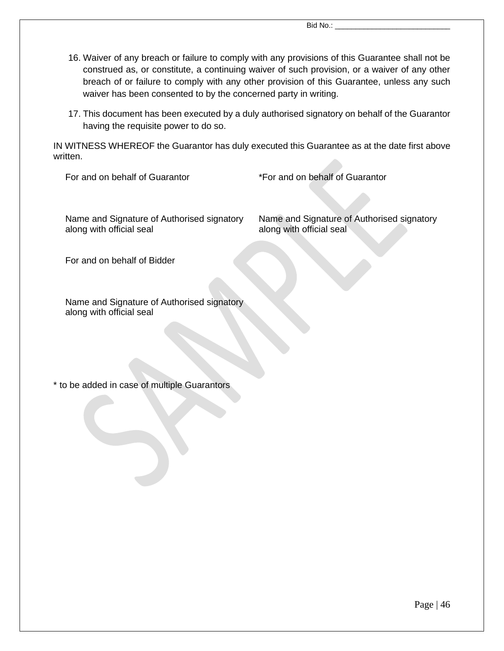- 16. Waiver of any breach or failure to comply with any provisions of this Guarantee shall not be construed as, or constitute, a continuing waiver of such provision, or a waiver of any other breach of or failure to comply with any other provision of this Guarantee, unless any such waiver has been consented to by the concerned party in writing.
- 17. This document has been executed by a duly authorised signatory on behalf of the Guarantor having the requisite power to do so.

IN WITNESS WHEREOF the Guarantor has duly executed this Guarantee as at the date first above written.

For and on behalf of Guarantor \*For and on behalf of Guarantor

Name and Signature of Authorised signatory along with official seal

Name and Signature of Authorised signatory along with official seal

For and on behalf of Bidder

Name and Signature of Authorised signatory along with official seal

\* to be added in case of multiple Guarantors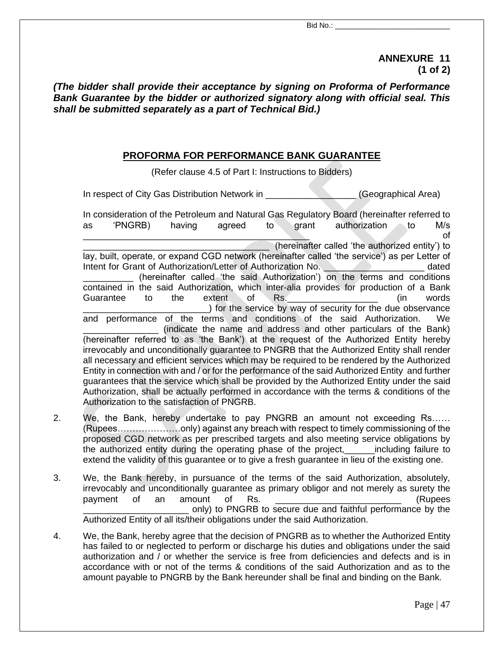**ANNEXURE 11 (1 of 2)**

*(The bidder shall provide their acceptance by signing on Proforma of Performance Bank Guarantee by the bidder or authorized signatory along with official seal. This shall be submitted separately as a part of Technical Bid.)*

#### **PROFORMA FOR PERFORMANCE BANK GUARANTEE**

(Refer clause 4.5 of Part I: Instructions to Bidders)

In respect of City Gas Distribution Network in \_\_\_\_\_\_\_\_\_\_\_\_\_\_\_\_\_\_\_(Geographical Area)

In consideration of the Petroleum and Natural Gas Regulatory Board (hereinafter referred to as 'PNGRB) having agreed to grant authorization to M/s  $\Box$  of (hereinafter called 'the authorized entity') to lay, built, operate, or expand CGD network (hereinafter called 'the service') as per Letter of Intent for Grant of Authorization/Letter of Authorization No. \_\_\_\_\_\_\_\_\_\_\_\_\_\_\_\_\_\_\_ dated (hereinafter called 'the said Authorization') on the terms and conditions contained in the said Authorization, which inter-alia provides for production of a Bank Guarantee to the extent of Rs. \_\_\_\_\_\_\_\_\_\_\_\_\_\_\_\_\_\_\_ (in words ) for the service by way of security for the due observance and performance of the terms and conditions of the said Authorization. We (indicate the name and address and other particulars of the Bank) (hereinafter referred to as 'the Bank') at the request of the Authorized Entity hereby irrevocably and unconditionally guarantee to PNGRB that the Authorized Entity shall render all necessary and efficient services which may be required to be rendered by the Authorized Entity in connection with and / or for the performance of the said Authorized Entity and further guarantees that the service which shall be provided by the Authorized Entity under the said Authorization, shall be actually performed in accordance with the terms & conditions of the Authorization to the satisfaction of PNGRB. 2. We, the Bank, hereby undertake to pay PNGRB an amount not exceeding Rs……

- (Rupees…………………only) against any breach with respect to timely commissioning of the proposed CGD network as per prescribed targets and also meeting service obligations by the authorized entity during the operating phase of the project,\_\_\_\_\_\_including failure to extend the validity of this guarantee or to give a fresh guarantee in lieu of the existing one.
- 3. We, the Bank hereby, in pursuance of the terms of the said Authorization, absolutely, irrevocably and unconditionally guarantee as primary obligor and not merely as surety the payment of an amount of Rs. \_\_\_\_\_\_\_\_\_\_\_\_\_\_\_\_\_\_\_\_\_\_\_\_\_ (Rupees \_\_\_\_\_\_\_\_\_\_\_\_\_\_\_\_\_\_\_\_\_ only) to PNGRB to secure due and faithful performance by the Authorized Entity of all its/their obligations under the said Authorization.
- 4. We, the Bank, hereby agree that the decision of PNGRB as to whether the Authorized Entity has failed to or neglected to perform or discharge his duties and obligations under the said authorization and / or whether the service is free from deficiencies and defects and is in accordance with or not of the terms & conditions of the said Authorization and as to the amount payable to PNGRB by the Bank hereunder shall be final and binding on the Bank.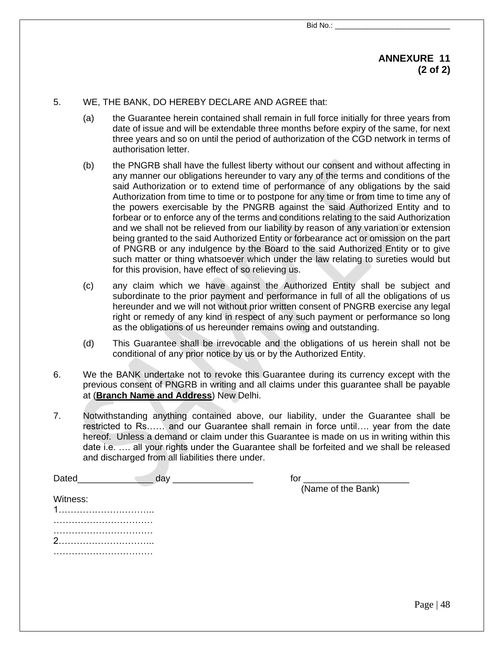#### **ANNEXURE 11 (2 of 2)**

#### 5. WE, THE BANK, DO HEREBY DECLARE AND AGREE that:

- (a) the Guarantee herein contained shall remain in full force initially for three years from date of issue and will be extendable three months before expiry of the same, for next three years and so on until the period of authorization of the CGD network in terms of authorisation letter.
- (b) the PNGRB shall have the fullest liberty without our consent and without affecting in any manner our obligations hereunder to vary any of the terms and conditions of the said Authorization or to extend time of performance of any obligations by the said Authorization from time to time or to postpone for any time or from time to time any of the powers exercisable by the PNGRB against the said Authorized Entity and to forbear or to enforce any of the terms and conditions relating to the said Authorization and we shall not be relieved from our liability by reason of any variation or extension being granted to the said Authorized Entity or forbearance act or omission on the part of PNGRB or any indulgence by the Board to the said Authorized Entity or to give such matter or thing whatsoever which under the law relating to sureties would but for this provision, have effect of so relieving us.
- (c) any claim which we have against the Authorized Entity shall be subject and subordinate to the prior payment and performance in full of all the obligations of us hereunder and we will not without prior written consent of PNGRB exercise any legal right or remedy of any kind in respect of any such payment or performance so long as the obligations of us hereunder remains owing and outstanding.
- (d) This Guarantee shall be irrevocable and the obligations of us herein shall not be conditional of any prior notice by us or by the Authorized Entity.
- 6. We the BANK undertake not to revoke this Guarantee during its currency except with the previous consent of PNGRB in writing and all claims under this guarantee shall be payable at (**Branch Name and Address**) New Delhi.
- 7. Notwithstanding anything contained above, our liability, under the Guarantee shall be restricted to Rs…… and our Guarantee shall remain in force until…. year from the date hereof. Unless a demand or claim under this Guarantee is made on us in writing within this date i.e. …. all your rights under the Guarantee shall be forfeited and we shall be released and discharged from all liabilities there under.

| Dated    | tol                |
|----------|--------------------|
|          | (Name of the Bank) |
| Witness: |                    |
|          |                    |
|          |                    |
| $\sim$   |                    |
|          |                    |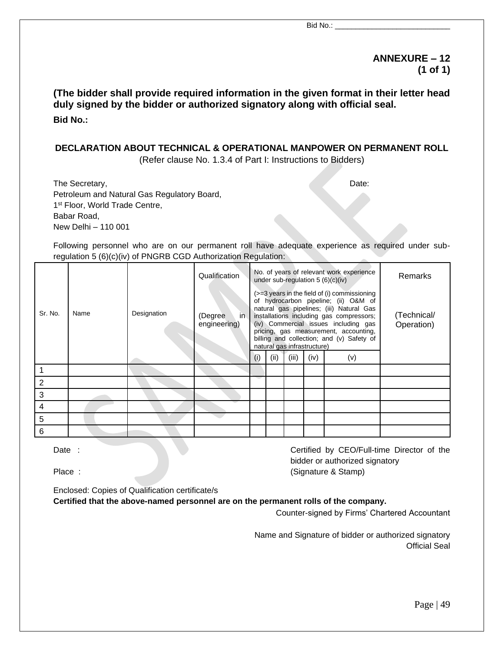#### **ANNEXURE – 12 (1 of 1)**

#### **(The bidder shall provide required information in the given format in their letter head duly signed by the bidder or authorized signatory along with official seal. Bid No.:**

#### **DECLARATION ABOUT TECHNICAL & OPERATIONAL MANPOWER ON PERMANENT ROLL**

(Refer clause No. 1.3.4 of Part I: Instructions to Bidders)

The Secretary, Date:  $\Box$ Petroleum and Natural Gas Regulatory Board, 1<sup>st</sup> Floor, World Trade Centre, Babar Road, New Delhi – 110 001

Following personnel who are on our permanent roll have adequate experience as required under subregulation 5 (6)(c)(iv) of PNGRB CGD Authorization Regulation:

|                |      |             | Qualification                    |  |                                                                                                                                                                                                                                                                                                                                                                                  | No. of years of relevant work experience<br>under sub-regulation $5(6)(c)(iv)$ | <b>Remarks</b> |  |                           |
|----------------|------|-------------|----------------------------------|--|----------------------------------------------------------------------------------------------------------------------------------------------------------------------------------------------------------------------------------------------------------------------------------------------------------------------------------------------------------------------------------|--------------------------------------------------------------------------------|----------------|--|---------------------------|
| Sr. No.        | Name | Designation | (Degree)<br>in I<br>engineering) |  | (>=3 years in the field of (i) commissioning<br>of hydrocarbon pipeline; (ii) O&M of<br>natural gas pipelines; (iii) Natural Gas<br>installations including gas compressors;<br>(iv) Commercial issues including gas<br>pricing, gas measurement, accounting,<br>billing and collection; and (v) Safety of<br>natural gas infrastructure)<br>(ii)<br>(iii)<br>(iv)<br>(v)<br>(i) |                                                                                |                |  | (Technical/<br>Operation) |
|                |      |             |                                  |  |                                                                                                                                                                                                                                                                                                                                                                                  |                                                                                |                |  |                           |
|                |      |             |                                  |  |                                                                                                                                                                                                                                                                                                                                                                                  |                                                                                |                |  |                           |
| $\overline{2}$ |      |             |                                  |  |                                                                                                                                                                                                                                                                                                                                                                                  |                                                                                |                |  |                           |
| 3              |      |             |                                  |  |                                                                                                                                                                                                                                                                                                                                                                                  |                                                                                |                |  |                           |
| 4              |      |             |                                  |  |                                                                                                                                                                                                                                                                                                                                                                                  |                                                                                |                |  |                           |
| 5              |      |             |                                  |  |                                                                                                                                                                                                                                                                                                                                                                                  |                                                                                |                |  |                           |
| 6              |      |             |                                  |  |                                                                                                                                                                                                                                                                                                                                                                                  |                                                                                |                |  |                           |

Date : Certified by CEO/Full-time Director of the bidder or authorized signatory Place : (Signature & Stamp)

Enclosed: Copies of Qualification certificate/s

#### **Certified that the above-named personnel are on the permanent rolls of the company.**

Counter-signed by Firms' Chartered Accountant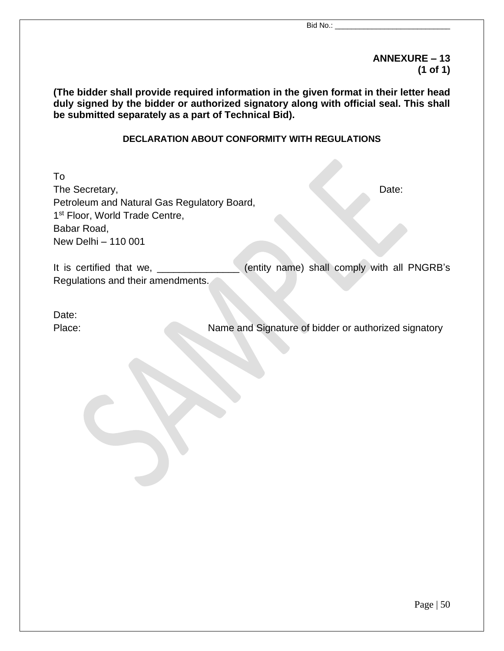#### **ANNEXURE – 13 (1 of 1)**

**(The bidder shall provide required information in the given format in their letter head duly signed by the bidder or authorized signatory along with official seal. This shall be submitted separately as a part of Technical Bid).**

#### **DECLARATION ABOUT CONFORMITY WITH REGULATIONS**

To The Secretary, Date: Petroleum and Natural Gas Regulatory Board, 1<sup>st</sup> Floor, World Trade Centre, Babar Road, New Delhi – 110 001 It is certified that we, \_\_\_\_\_\_\_\_\_\_\_\_\_\_\_ (entity name) shall comply with all PNGRB's Regulations and their amendments.

Date:

Place: Name and Signature of bidder or authorized signatory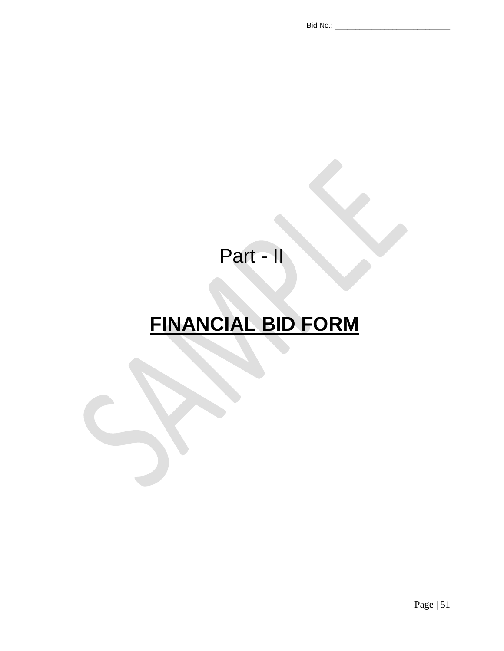Part - II

# **FINANCIAL BID FORM**